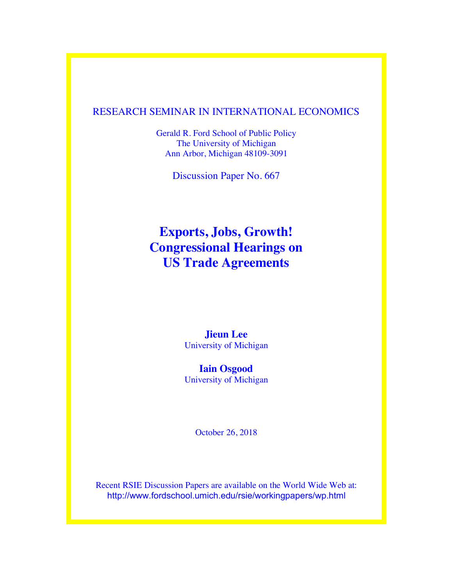### RESEARCH SEMINAR IN INTERNATIONAL ECONOMICS

Gerald R. Ford School of Public Policy The University of Michigan Ann Arbor, Michigan 48109-3091

Discussion Paper No. 667

# **Exports, Jobs, Growth! Congressional Hearings on US Trade Agreements**

### **Jieun Lee** University of Michigan

**Iain Osgood** University of Michigan

October 26, 2018

Recent RSIE Discussion Papers are available on the World Wide Web at: http://www.fordschool.umich.edu/rsie/workingpapers/wp.html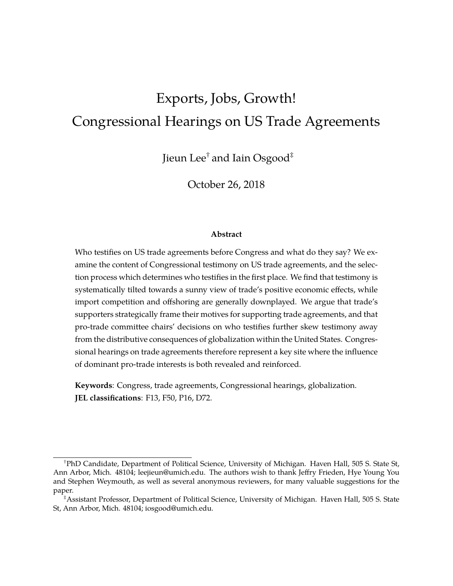# Exports, Jobs, Growth! Congressional Hearings on US Trade Agreements

Jieun Lee† and Iain Osgood‡

October 26, 2018

#### **Abstract**

Who testifies on US trade agreements before Congress and what do they say? We examine the content of Congressional testimony on US trade agreements, and the selection process which determines who testifies in the first place. We find that testimony is systematically tilted towards a sunny view of trade's positive economic effects, while import competition and offshoring are generally downplayed. We argue that trade's supporters strategically frame their motives for supporting trade agreements, and that pro-trade committee chairs' decisions on who testifies further skew testimony away from the distributive consequences of globalization within the United States. Congressional hearings on trade agreements therefore represent a key site where the influence of dominant pro-trade interests is both revealed and reinforced.

**Keywords**: Congress, trade agreements, Congressional hearings, globalization. **JEL classifications**: F13, F50, P16, D72.

<sup>†</sup>PhD Candidate, Department of Political Science, University of Michigan. Haven Hall, 505 S. State St, Ann Arbor, Mich. 48104; leejieun@umich.edu. The authors wish to thank Jeffry Frieden, Hye Young You and Stephen Weymouth, as well as several anonymous reviewers, for many valuable suggestions for the paper.

<sup>‡</sup>Assistant Professor, Department of Political Science, University of Michigan. Haven Hall, 505 S. State St, Ann Arbor, Mich. 48104; iosgood@umich.edu.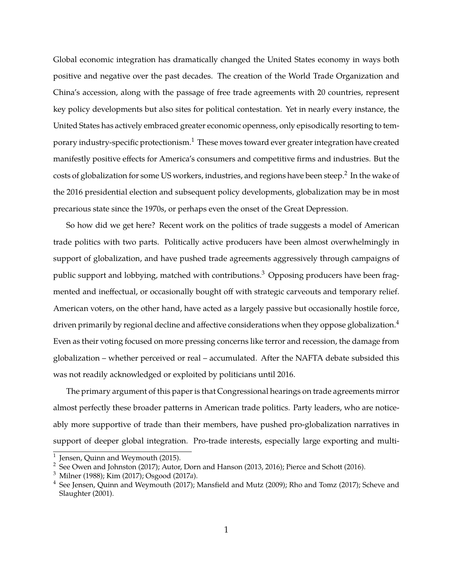Global economic integration has dramatically changed the United States economy in ways both positive and negative over the past decades. The creation of the World Trade Organization and China's accession, along with the passage of free trade agreements with 20 countries, represent key policy developments but also sites for political contestation. Yet in nearly every instance, the United States has actively embraced greater economic openness, only episodically resorting to tem-porary industry-specific protectionism.<sup>[1](#page-2-0)</sup> These moves toward ever greater integration have created manifestly positive effects for America's consumers and competitive firms and industries. But the costs of globalization for some US workers, industries, and regions have been steep. $^2$  $^2$  In the wake of the 2016 presidential election and subsequent policy developments, globalization may be in most precarious state since the 1970s, or perhaps even the onset of the Great Depression.

So how did we get here? Recent work on the politics of trade suggests a model of American trade politics with two parts. Politically active producers have been almost overwhelmingly in support of globalization, and have pushed trade agreements aggressively through campaigns of public support and lobbying, matched with contributions.<sup>[3](#page-2-2)</sup> Opposing producers have been fragmented and ineffectual, or occasionally bought off with strategic carveouts and temporary relief. American voters, on the other hand, have acted as a largely passive but occasionally hostile force, driven primarily by regional decline and affective considerations when they oppose globalization.<sup>[4](#page-2-3)</sup> Even as their voting focused on more pressing concerns like terror and recession, the damage from globalization – whether perceived or real – accumulated. After the NAFTA debate subsided this was not readily acknowledged or exploited by politicians until 2016.

The primary argument of this paper is that Congressional hearings on trade agreements mirror almost perfectly these broader patterns in American trade politics. Party leaders, who are noticeably more supportive of trade than their members, have pushed pro-globalization narratives in support of deeper global integration. Pro-trade interests, especially large exporting and multi-

<span id="page-2-0"></span> $^1$  [Jensen, Quinn and Weymouth](#page-34-0) [\(2015\)](#page-34-0).

<span id="page-2-1"></span><sup>&</sup>lt;sup>2</sup> See [Owen and Johnston](#page-36-0) [\(2017\)](#page-36-0); [Autor, Dorn and Hanson](#page-32-0) [\(2013,](#page-32-0) [2016\)](#page-32-1); [Pierce and Schott](#page-36-1) [\(2016\)](#page-36-1).

<span id="page-2-2"></span><sup>3</sup> [Milner](#page-36-2) [\(1988\)](#page-36-2); [Kim](#page-34-1) [\(2017\)](#page-34-1); [Osgood](#page-36-3) [\(2017](#page-36-3)*a*).

<span id="page-2-3"></span><sup>4</sup> See [Jensen, Quinn and Weymouth](#page-34-2) [\(2017\)](#page-34-2); [Mansfield and Mutz](#page-35-0) [\(2009\)](#page-35-0); [Rho and Tomz](#page-36-4) [\(2017\)](#page-36-4); [Scheve and](#page-37-0) [Slaughter](#page-37-0) [\(2001\)](#page-37-0).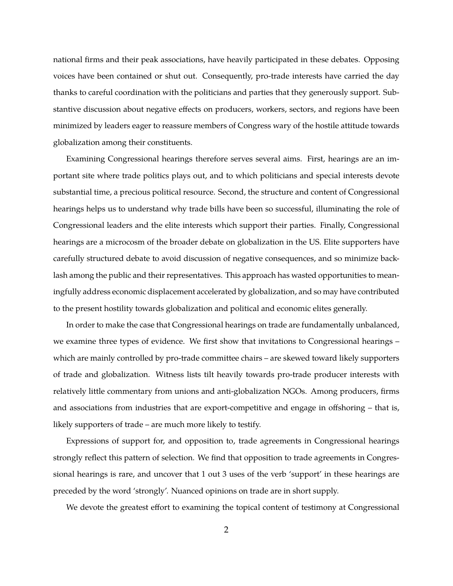national firms and their peak associations, have heavily participated in these debates. Opposing voices have been contained or shut out. Consequently, pro-trade interests have carried the day thanks to careful coordination with the politicians and parties that they generously support. Substantive discussion about negative effects on producers, workers, sectors, and regions have been minimized by leaders eager to reassure members of Congress wary of the hostile attitude towards globalization among their constituents.

Examining Congressional hearings therefore serves several aims. First, hearings are an important site where trade politics plays out, and to which politicians and special interests devote substantial time, a precious political resource. Second, the structure and content of Congressional hearings helps us to understand why trade bills have been so successful, illuminating the role of Congressional leaders and the elite interests which support their parties. Finally, Congressional hearings are a microcosm of the broader debate on globalization in the US. Elite supporters have carefully structured debate to avoid discussion of negative consequences, and so minimize backlash among the public and their representatives. This approach has wasted opportunities to meaningfully address economic displacement accelerated by globalization, and so may have contributed to the present hostility towards globalization and political and economic elites generally.

In order to make the case that Congressional hearings on trade are fundamentally unbalanced, we examine three types of evidence. We first show that invitations to Congressional hearings – which are mainly controlled by pro-trade committee chairs – are skewed toward likely supporters of trade and globalization. Witness lists tilt heavily towards pro-trade producer interests with relatively little commentary from unions and anti-globalization NGOs. Among producers, firms and associations from industries that are export-competitive and engage in offshoring – that is, likely supporters of trade – are much more likely to testify.

Expressions of support for, and opposition to, trade agreements in Congressional hearings strongly reflect this pattern of selection. We find that opposition to trade agreements in Congressional hearings is rare, and uncover that 1 out 3 uses of the verb 'support' in these hearings are preceded by the word 'strongly'. Nuanced opinions on trade are in short supply.

We devote the greatest effort to examining the topical content of testimony at Congressional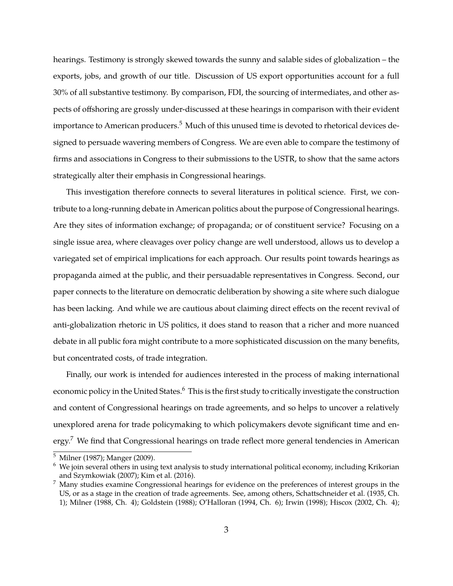hearings. Testimony is strongly skewed towards the sunny and salable sides of globalization – the exports, jobs, and growth of our title. Discussion of US export opportunities account for a full 30% of all substantive testimony. By comparison, FDI, the sourcing of intermediates, and other aspects of offshoring are grossly under-discussed at these hearings in comparison with their evident importance to American producers.<sup>[5](#page-4-0)</sup> Much of this unused time is devoted to rhetorical devices designed to persuade wavering members of Congress. We are even able to compare the testimony of firms and associations in Congress to their submissions to the USTR, to show that the same actors strategically alter their emphasis in Congressional hearings.

This investigation therefore connects to several literatures in political science. First, we contribute to a long-running debate in American politics about the purpose of Congressional hearings. Are they sites of information exchange; of propaganda; or of constituent service? Focusing on a single issue area, where cleavages over policy change are well understood, allows us to develop a variegated set of empirical implications for each approach. Our results point towards hearings as propaganda aimed at the public, and their persuadable representatives in Congress. Second, our paper connects to the literature on democratic deliberation by showing a site where such dialogue has been lacking. And while we are cautious about claiming direct effects on the recent revival of anti-globalization rhetoric in US politics, it does stand to reason that a richer and more nuanced debate in all public fora might contribute to a more sophisticated discussion on the many benefits, but concentrated costs, of trade integration.

Finally, our work is intended for audiences interested in the process of making international economic policy in the United States.<sup>[6](#page-4-1)</sup> This is the first study to critically investigate the construction and content of Congressional hearings on trade agreements, and so helps to uncover a relatively unexplored arena for trade policymaking to which policymakers devote significant time and en-ergy.<sup>[7](#page-4-2)</sup> We find that Congressional hearings on trade reflect more general tendencies in American

<span id="page-4-0"></span><sup>5</sup> [Milner](#page-36-5) [\(1987\)](#page-36-5); [Manger](#page-35-1) [\(2009\)](#page-35-1).

<span id="page-4-1"></span> $6\,$  We join several others in using text analysis to study international political economy, including [Krikorian](#page-35-2) [and Szymkowiak](#page-35-2) [\(2007\)](#page-35-2); [Kim et al.](#page-34-3) [\(2016\)](#page-34-3).

<span id="page-4-2"></span><sup>7</sup> Many studies examine Congressional hearings for evidence on the preferences of interest groups in the US, or as a stage in the creation of trade agreements. See, among others, [Schattschneider et al.](#page-37-1) [\(1935,](#page-37-1) Ch. 1); [Milner](#page-36-2) [\(1988,](#page-36-2) Ch. 4); [Goldstein](#page-33-0) [\(1988\)](#page-33-0); [O'Halloran](#page-36-6) [\(1994,](#page-36-6) Ch. 6); [Irwin](#page-34-4) [\(1998\)](#page-34-4); [Hiscox](#page-34-5) [\(2002,](#page-34-5) Ch. 4);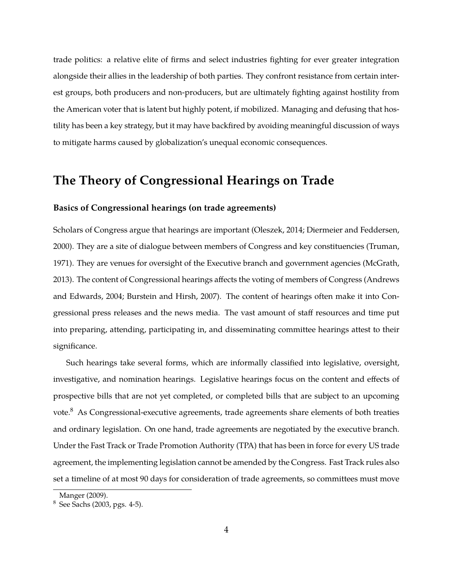trade politics: a relative elite of firms and select industries fighting for ever greater integration alongside their allies in the leadership of both parties. They confront resistance from certain interest groups, both producers and non-producers, but are ultimately fighting against hostility from the American voter that is latent but highly potent, if mobilized. Managing and defusing that hostility has been a key strategy, but it may have backfired by avoiding meaningful discussion of ways to mitigate harms caused by globalization's unequal economic consequences.

### **The Theory of Congressional Hearings on Trade**

### **Basics of Congressional hearings (on trade agreements)**

Scholars of Congress argue that hearings are important [\(Oleszek, 2014;](#page-36-7) [Diermeier and Feddersen,](#page-33-1) [2000\)](#page-33-1). They are a site of dialogue between members of Congress and key constituencies [\(Truman,](#page-37-2) [1971\)](#page-37-2). They are venues for oversight of the Executive branch and government agencies [\(McGrath,](#page-35-3) [2013\)](#page-35-3). The content of Congressional hearings affects the voting of members of Congress [\(Andrews](#page-32-2) [and Edwards, 2004;](#page-32-2) [Burstein and Hirsh, 2007\)](#page-33-2). The content of hearings often make it into Congressional press releases and the news media. The vast amount of staff resources and time put into preparing, attending, participating in, and disseminating committee hearings attest to their significance.

Such hearings take several forms, which are informally classified into legislative, oversight, investigative, and nomination hearings. Legislative hearings focus on the content and effects of prospective bills that are not yet completed, or completed bills that are subject to an upcoming vote.<sup>[8](#page-5-0)</sup> As Congressional-executive agreements, trade agreements share elements of both treaties and ordinary legislation. On one hand, trade agreements are negotiated by the executive branch. Under the Fast Track or Trade Promotion Authority (TPA) that has been in force for every US trade agreement, the implementing legislation cannot be amended by the Congress. Fast Track rules also set a timeline of at most 90 days for consideration of trade agreements, so committees must move

[Manger](#page-35-1) [\(2009\)](#page-35-1).

<span id="page-5-0"></span><sup>8</sup> See [Sachs](#page-36-8) [\(2003,](#page-36-8) pgs. 4-5).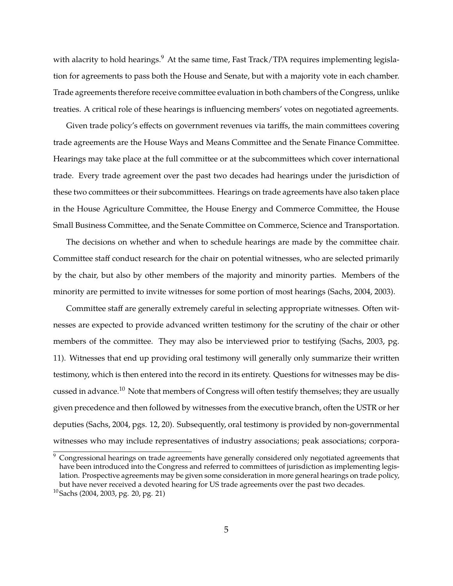with alacrity to hold hearings.<sup>[9](#page-6-0)</sup> At the same time, Fast Track/TPA requires implementing legislation for agreements to pass both the House and Senate, but with a majority vote in each chamber. Trade agreements therefore receive committee evaluation in both chambers of the Congress, unlike treaties. A critical role of these hearings is influencing members' votes on negotiated agreements.

Given trade policy's effects on government revenues via tariffs, the main committees covering trade agreements are the House Ways and Means Committee and the Senate Finance Committee. Hearings may take place at the full committee or at the subcommittees which cover international trade. Every trade agreement over the past two decades had hearings under the jurisdiction of these two committees or their subcommittees. Hearings on trade agreements have also taken place in the House Agriculture Committee, the House Energy and Commerce Committee, the House Small Business Committee, and the Senate Committee on Commerce, Science and Transportation.

The decisions on whether and when to schedule hearings are made by the committee chair. Committee staff conduct research for the chair on potential witnesses, who are selected primarily by the chair, but also by other members of the majority and minority parties. Members of the minority are permitted to invite witnesses for some portion of most hearings [\(Sachs, 2004,](#page-37-3) [2003\)](#page-36-8).

Committee staff are generally extremely careful in selecting appropriate witnesses. Often witnesses are expected to provide advanced written testimony for the scrutiny of the chair or other members of the committee. They may also be interviewed prior to testifying [\(Sachs, 2003,](#page-36-8) pg. 11). Witnesses that end up providing oral testimony will generally only summarize their written testimony, which is then entered into the record in its entirety. Questions for witnesses may be dis-cussed in advance.<sup>[10](#page-6-1)</sup> Note that members of Congress will often testify themselves; they are usually given precedence and then followed by witnesses from the executive branch, often the USTR or her deputies [\(Sachs, 2004,](#page-37-3) pgs. 12, 20). Subsequently, oral testimony is provided by non-governmental witnesses who may include representatives of industry associations; peak associations; corpora-

<span id="page-6-0"></span> $\frac{9}{9}$  Congressional hearings on trade agreements have generally considered only negotiated agreements that have been introduced into the Congress and referred to committees of jurisdiction as implementing legislation. Prospective agreements may be given some consideration in more general hearings on trade policy, but have never received a devoted hearing for US trade agreements over the past two decades. <sup>10</sup>[Sachs](#page-37-3) [\(2004,](#page-37-3) [2003,](#page-36-8) pg. 20, pg. 21)

<span id="page-6-1"></span>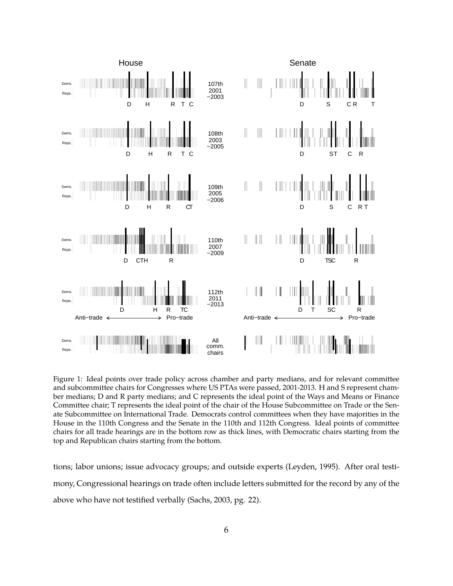<span id="page-7-0"></span>

Figure 1: Ideal points over trade policy across chamber and party medians, and for relevant committee and subcommittee chairs for Congresses where US PTAs were passed, 2001-2013. H and S represent chamber medians; D and R party medians; and C represents the ideal point of the Ways and Means or Finance Committee chair; T represents the ideal point of the chair of the House Subcommittee on Trade or the Senate Subcommittee on International Trade. Democrats control committees when they have majorities in the House in the 110th Congress and the Senate in the 110th and 112th Congress. Ideal points of committee chairs for all trade hearings are in the bottom row as thick lines, with Democratic chairs starting from the top and Republican chairs starting from the bottom.

tions; labor unions; issue advocacy groups; and outside experts [\(Leyden, 1995\)](#page-35-4). After oral testimony, Congressional hearings on trade often include letters submitted for the record by any of the above who have not testified verbally [\(Sachs, 2003,](#page-36-8) pg. 22).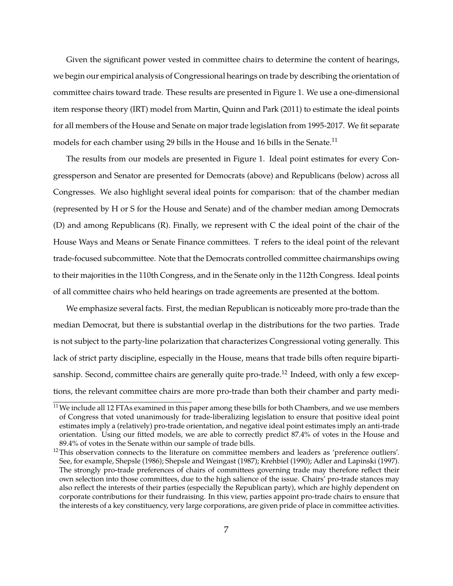Given the significant power vested in committee chairs to determine the content of hearings, we begin our empirical analysis of Congressional hearings on trade by describing the orientation of committee chairs toward trade. These results are presented in Figure [1.](#page-7-0) We use a one-dimensional item response theory (IRT) model from [Martin, Quinn and Park](#page-35-5) [\(2011\)](#page-35-5) to estimate the ideal points for all members of the House and Senate on major trade legislation from 1995-2017. We fit separate models for each chamber using 29 bills in the House and 16 bills in the Senate.<sup>[11](#page-8-0)</sup>

The results from our models are presented in Figure [1.](#page-7-0) Ideal point estimates for every Congressperson and Senator are presented for Democrats (above) and Republicans (below) across all Congresses. We also highlight several ideal points for comparison: that of the chamber median (represented by H or S for the House and Senate) and of the chamber median among Democrats (D) and among Republicans (R). Finally, we represent with C the ideal point of the chair of the House Ways and Means or Senate Finance committees. T refers to the ideal point of the relevant trade-focused subcommittee. Note that the Democrats controlled committee chairmanships owing to their majorities in the 110th Congress, and in the Senate only in the 112th Congress. Ideal points of all committee chairs who held hearings on trade agreements are presented at the bottom.

We emphasize several facts. First, the median Republican is noticeably more pro-trade than the median Democrat, but there is substantial overlap in the distributions for the two parties. Trade is not subject to the party-line polarization that characterizes Congressional voting generally. This lack of strict party discipline, especially in the House, means that trade bills often require biparti-sanship. Second, committee chairs are generally quite pro-trade.<sup>[12](#page-8-1)</sup> Indeed, with only a few exceptions, the relevant committee chairs are more pro-trade than both their chamber and party medi-

<span id="page-8-0"></span> $11$  We include all 12 FTAs examined in this paper among these bills for both Chambers, and we use members of Congress that voted unanimously for trade-liberalizing legislation to ensure that positive ideal point estimates imply a (relatively) pro-trade orientation, and negative ideal point estimates imply an anti-trade orientation. Using our fitted models, we are able to correctly predict 87.4% of votes in the House and 89.4% of votes in the Senate within our sample of trade bills.

<span id="page-8-1"></span> $12$ This observation connects to the literature on committee members and leaders as 'preference outliers'. See, for example, [Shepsle](#page-37-4) [\(1986\)](#page-37-4); [Shepsle and Weingast](#page-37-5) [\(1987\)](#page-37-5); [Krehbiel](#page-35-6) [\(1990\)](#page-35-6); [Adler and Lapinski](#page-32-3) [\(1997\)](#page-32-3). The strongly pro-trade preferences of chairs of committees governing trade may therefore reflect their own selection into those committees, due to the high salience of the issue. Chairs' pro-trade stances may also reflect the interests of their parties (especially the Republican party), which are highly dependent on corporate contributions for their fundraising. In this view, parties appoint pro-trade chairs to ensure that the interests of a key constituency, very large corporations, are given pride of place in committee activities.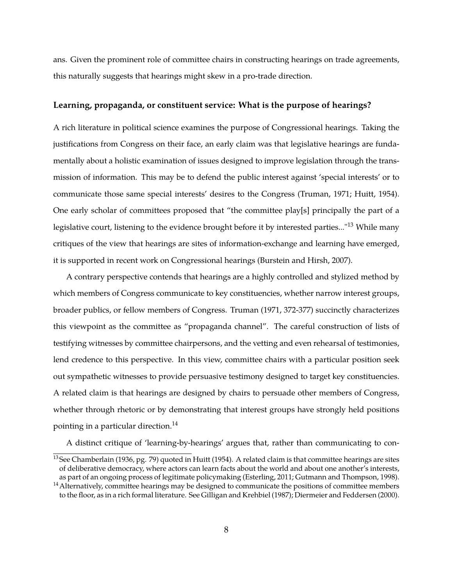ans. Given the prominent role of committee chairs in constructing hearings on trade agreements, this naturally suggests that hearings might skew in a pro-trade direction.

### **Learning, propaganda, or constituent service: What is the purpose of hearings?**

A rich literature in political science examines the purpose of Congressional hearings. Taking the justifications from Congress on their face, an early claim was that legislative hearings are fundamentally about a holistic examination of issues designed to improve legislation through the transmission of information. This may be to defend the public interest against 'special interests' or to communicate those same special interests' desires to the Congress [\(Truman, 1971;](#page-37-2) [Huitt, 1954\)](#page-34-6). One early scholar of committees proposed that "the committee play[s] principally the part of a legislative court, listening to the evidence brought before it by interested parties..."<sup>[13](#page-9-0)</sup> While many critiques of the view that hearings are sites of information-exchange and learning have emerged, it is supported in recent work on Congressional hearings [\(Burstein and Hirsh, 2007\)](#page-33-2).

A contrary perspective contends that hearings are a highly controlled and stylized method by which members of Congress communicate to key constituencies, whether narrow interest groups, broader publics, or fellow members of Congress. [Truman](#page-37-2) [\(1971,](#page-37-2) 372-377) succinctly characterizes this viewpoint as the committee as "propaganda channel". The careful construction of lists of testifying witnesses by committee chairpersons, and the vetting and even rehearsal of testimonies, lend credence to this perspective. In this view, committee chairs with a particular position seek out sympathetic witnesses to provide persuasive testimony designed to target key constituencies. A related claim is that hearings are designed by chairs to persuade other members of Congress, whether through rhetoric or by demonstrating that interest groups have strongly held positions pointing in a particular direction.<sup>[14](#page-9-1)</sup>

A distinct critique of 'learning-by-hearings' argues that, rather than communicating to con-

<span id="page-9-0"></span><sup>&</sup>lt;sup>13</sup> See [Chamberlain](#page-33-3) [\(1936,](#page-33-3) pg. 79) quoted in [Huitt](#page-34-6) [\(1954\)](#page-34-6). A related claim is that committee hearings are sites of deliberative democracy, where actors can learn facts about the world and about one another's interests, as part of an ongoing process of legitimate policymaking [\(Esterling, 2011;](#page-33-4) [Gutmann and Thompson, 1998\)](#page-34-7).

<span id="page-9-1"></span> $14$  Alternatively, committee hearings may be designed to communicate the positions of committee members to the floor, as in a rich formal literature. See [Gilligan and Krehbiel](#page-33-5) [\(1987\)](#page-33-5); [Diermeier and Feddersen](#page-33-1) [\(2000\)](#page-33-1).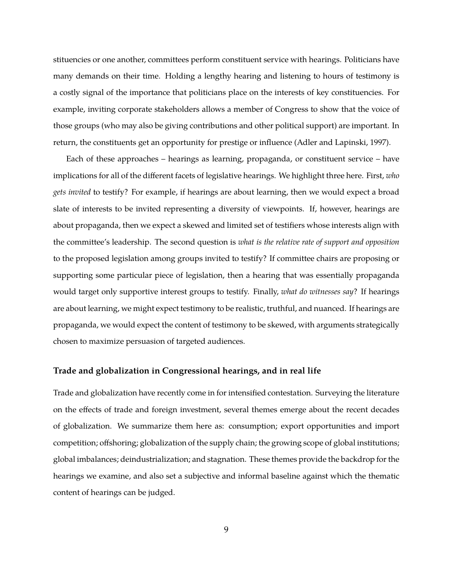stituencies or one another, committees perform constituent service with hearings. Politicians have many demands on their time. Holding a lengthy hearing and listening to hours of testimony is a costly signal of the importance that politicians place on the interests of key constituencies. For example, inviting corporate stakeholders allows a member of Congress to show that the voice of those groups (who may also be giving contributions and other political support) are important. In return, the constituents get an opportunity for prestige or influence [\(Adler and Lapinski, 1997\)](#page-32-3).

Each of these approaches – hearings as learning, propaganda, or constituent service – have implications for all of the different facets of legislative hearings. We highlight three here. First, *who gets invited* to testify? For example, if hearings are about learning, then we would expect a broad slate of interests to be invited representing a diversity of viewpoints. If, however, hearings are about propaganda, then we expect a skewed and limited set of testifiers whose interests align with the committee's leadership. The second question is *what is the relative rate of support and opposition* to the proposed legislation among groups invited to testify? If committee chairs are proposing or supporting some particular piece of legislation, then a hearing that was essentially propaganda would target only supportive interest groups to testify. Finally, *what do witnesses say*? If hearings are about learning, we might expect testimony to be realistic, truthful, and nuanced. If hearings are propaganda, we would expect the content of testimony to be skewed, with arguments strategically chosen to maximize persuasion of targeted audiences.

#### **Trade and globalization in Congressional hearings, and in real life**

Trade and globalization have recently come in for intensified contestation. Surveying the literature on the effects of trade and foreign investment, several themes emerge about the recent decades of globalization. We summarize them here as: consumption; export opportunities and import competition; offshoring; globalization of the supply chain; the growing scope of global institutions; global imbalances; deindustrialization; and stagnation. These themes provide the backdrop for the hearings we examine, and also set a subjective and informal baseline against which the thematic content of hearings can be judged.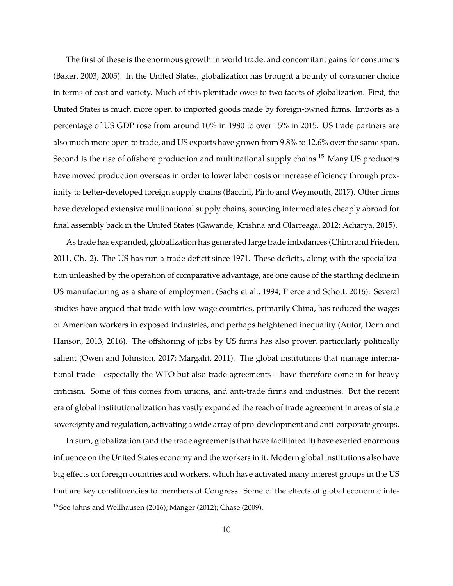The first of these is the enormous growth in world trade, and concomitant gains for consumers [\(Baker, 2003,](#page-33-6) [2005\)](#page-33-7). In the United States, globalization has brought a bounty of consumer choice in terms of cost and variety. Much of this plenitude owes to two facets of globalization. First, the United States is much more open to imported goods made by foreign-owned firms. Imports as a percentage of US GDP rose from around 10% in 1980 to over 15% in 2015. US trade partners are also much more open to trade, and US exports have grown from 9.8% to 12.6% over the same span. Second is the rise of offshore production and multinational supply chains.<sup>[15](#page-11-0)</sup> Many US producers have moved production overseas in order to lower labor costs or increase efficiency through proximity to better-developed foreign supply chains [\(Baccini, Pinto and Weymouth, 2017\)](#page-32-4). Other firms have developed extensive multinational supply chains, sourcing intermediates cheaply abroad for final assembly back in the United States [\(Gawande, Krishna and Olarreaga, 2012;](#page-33-8) [Acharya, 2015\)](#page-32-5).

As trade has expanded, globalization has generated large trade imbalances [\(Chinn and Frieden,](#page-33-9) [2011,](#page-33-9) Ch. 2). The US has run a trade deficit since 1971. These deficits, along with the specialization unleashed by the operation of comparative advantage, are one cause of the startling decline in US manufacturing as a share of employment [\(Sachs et al., 1994;](#page-36-9) [Pierce and Schott, 2016\)](#page-36-1). Several studies have argued that trade with low-wage countries, primarily China, has reduced the wages of American workers in exposed industries, and perhaps heightened inequality [\(Autor, Dorn and](#page-32-0) [Hanson, 2013,](#page-32-0) [2016\)](#page-32-1). The offshoring of jobs by US firms has also proven particularly politically salient [\(Owen and Johnston, 2017;](#page-36-0) [Margalit, 2011\)](#page-35-7). The global institutions that manage international trade – especially the WTO but also trade agreements – have therefore come in for heavy criticism. Some of this comes from unions, and anti-trade firms and industries. But the recent era of global institutionalization has vastly expanded the reach of trade agreement in areas of state sovereignty and regulation, activating a wide array of pro-development and anti-corporate groups.

In sum, globalization (and the trade agreements that have facilitated it) have exerted enormous influence on the United States economy and the workers in it. Modern global institutions also have big effects on foreign countries and workers, which have activated many interest groups in the US that are key constituencies to members of Congress. Some of the effects of global economic inte-

<span id="page-11-0"></span><sup>&</sup>lt;sup>15</sup> See [Johns and Wellhausen](#page-34-8) [\(2016\)](#page-34-8); [Manger](#page-35-8) [\(2012\)](#page-35-8); [Chase](#page-33-10) [\(2009\)](#page-33-10).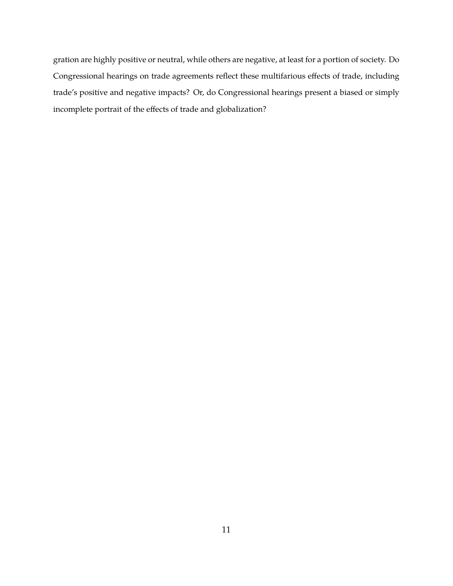gration are highly positive or neutral, while others are negative, at least for a portion of society. Do Congressional hearings on trade agreements reflect these multifarious effects of trade, including trade's positive and negative impacts? Or, do Congressional hearings present a biased or simply incomplete portrait of the effects of trade and globalization?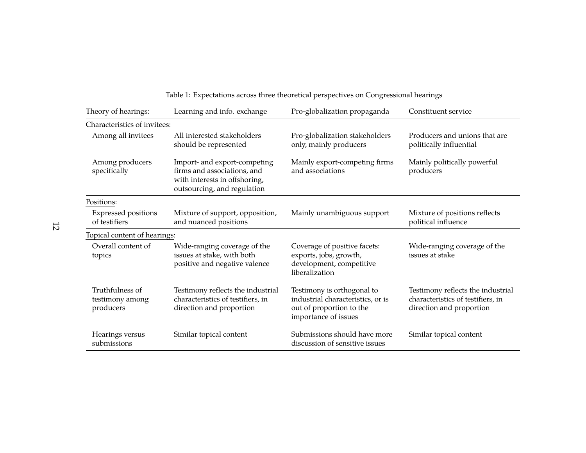| Theory of hearings:                             | Learning and info. exchange                                                                                                 | Pro-globalization propaganda                                                                                        | Constituent service                                                                                |
|-------------------------------------------------|-----------------------------------------------------------------------------------------------------------------------------|---------------------------------------------------------------------------------------------------------------------|----------------------------------------------------------------------------------------------------|
| Characteristics of invitees:                    |                                                                                                                             |                                                                                                                     |                                                                                                    |
| Among all invitees                              | All interested stakeholders<br>should be represented                                                                        | Pro-globalization stakeholders<br>only, mainly producers                                                            | Producers and unions that are<br>politically influential                                           |
| Among producers<br>specifically                 | Import- and export-competing<br>firms and associations, and<br>with interests in offshoring,<br>outsourcing, and regulation | Mainly export-competing firms<br>and associations                                                                   | Mainly politically powerful<br>producers                                                           |
| Positions:                                      |                                                                                                                             |                                                                                                                     |                                                                                                    |
| Expressed positions<br>of testifiers            | Mixture of support, opposition,<br>and nuanced positions                                                                    | Mainly unambiguous support                                                                                          | Mixture of positions reflects<br>political influence                                               |
| Topical content of hearings:                    |                                                                                                                             |                                                                                                                     |                                                                                                    |
| Overall content of<br>topics                    | Wide-ranging coverage of the<br>issues at stake, with both<br>positive and negative valence                                 | Coverage of positive facets:<br>exports, jobs, growth,<br>development, competitive<br>liberalization                | Wide-ranging coverage of the<br>issues at stake                                                    |
| Truthfulness of<br>testimony among<br>producers | Testimony reflects the industrial<br>characteristics of testifiers, in<br>direction and proportion                          | Testimony is orthogonal to<br>industrial characteristics, or is<br>out of proportion to the<br>importance of issues | Testimony reflects the industrial<br>characteristics of testifiers, in<br>direction and proportion |
| Hearings versus<br>submissions                  | Similar topical content                                                                                                     | Submissions should have more<br>discussion of sensitive issues                                                      | Similar topical content                                                                            |

### <span id="page-13-0"></span>Table 1: Expectations across three theoretical perspectives on Congressional hearings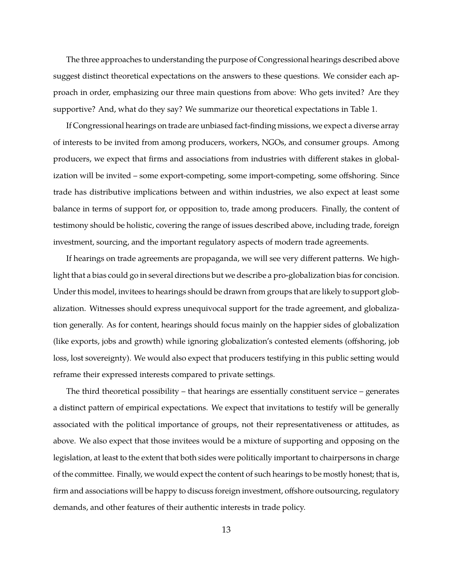The three approaches to understanding the purpose of Congressional hearings described above suggest distinct theoretical expectations on the answers to these questions. We consider each approach in order, emphasizing our three main questions from above: Who gets invited? Are they supportive? And, what do they say? We summarize our theoretical expectations in Table [1.](#page-13-0)

If Congressional hearings on trade are unbiased fact-finding missions, we expect a diverse array of interests to be invited from among producers, workers, NGOs, and consumer groups. Among producers, we expect that firms and associations from industries with different stakes in globalization will be invited – some export-competing, some import-competing, some offshoring. Since trade has distributive implications between and within industries, we also expect at least some balance in terms of support for, or opposition to, trade among producers. Finally, the content of testimony should be holistic, covering the range of issues described above, including trade, foreign investment, sourcing, and the important regulatory aspects of modern trade agreements.

If hearings on trade agreements are propaganda, we will see very different patterns. We highlight that a bias could go in several directions but we describe a pro-globalization bias for concision. Under this model, invitees to hearings should be drawn from groups that are likely to support globalization. Witnesses should express unequivocal support for the trade agreement, and globalization generally. As for content, hearings should focus mainly on the happier sides of globalization (like exports, jobs and growth) while ignoring globalization's contested elements (offshoring, job loss, lost sovereignty). We would also expect that producers testifying in this public setting would reframe their expressed interests compared to private settings.

The third theoretical possibility – that hearings are essentially constituent service – generates a distinct pattern of empirical expectations. We expect that invitations to testify will be generally associated with the political importance of groups, not their representativeness or attitudes, as above. We also expect that those invitees would be a mixture of supporting and opposing on the legislation, at least to the extent that both sides were politically important to chairpersons in charge of the committee. Finally, we would expect the content of such hearings to be mostly honest; that is, firm and associations will be happy to discuss foreign investment, offshore outsourcing, regulatory demands, and other features of their authentic interests in trade policy.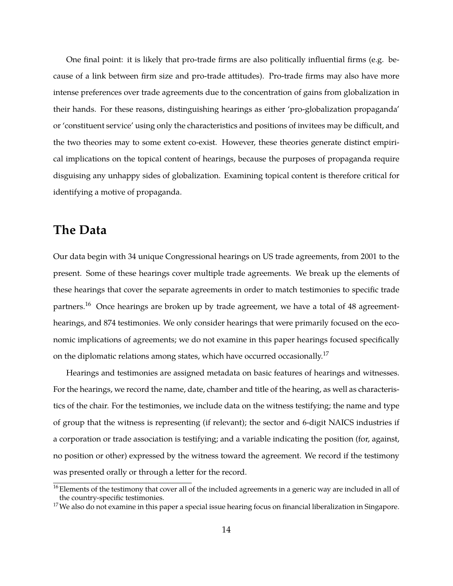One final point: it is likely that pro-trade firms are also politically influential firms (e.g. because of a link between firm size and pro-trade attitudes). Pro-trade firms may also have more intense preferences over trade agreements due to the concentration of gains from globalization in their hands. For these reasons, distinguishing hearings as either 'pro-globalization propaganda' or 'constituent service' using only the characteristics and positions of invitees may be difficult, and the two theories may to some extent co-exist. However, these theories generate distinct empirical implications on the topical content of hearings, because the purposes of propaganda require disguising any unhappy sides of globalization. Examining topical content is therefore critical for identifying a motive of propaganda.

# **The Data**

Our data begin with 34 unique Congressional hearings on US trade agreements, from 2001 to the present. Some of these hearings cover multiple trade agreements. We break up the elements of these hearings that cover the separate agreements in order to match testimonies to specific trade partners.<sup>[16](#page-15-0)</sup> Once hearings are broken up by trade agreement, we have a total of 48 agreementhearings, and 874 testimonies. We only consider hearings that were primarily focused on the economic implications of agreements; we do not examine in this paper hearings focused specifically on the diplomatic relations among states, which have occurred occasionally.<sup>[17](#page-15-1)</sup>

Hearings and testimonies are assigned metadata on basic features of hearings and witnesses. For the hearings, we record the name, date, chamber and title of the hearing, as well as characteristics of the chair. For the testimonies, we include data on the witness testifying; the name and type of group that the witness is representing (if relevant); the sector and 6-digit NAICS industries if a corporation or trade association is testifying; and a variable indicating the position (for, against, no position or other) expressed by the witness toward the agreement. We record if the testimony was presented orally or through a letter for the record.

<span id="page-15-0"></span> $16$  Elements of the testimony that cover all of the included agreements in a generic way are included in all of the country-specific testimonies.

<span id="page-15-1"></span> $17$  We also do not examine in this paper a special issue hearing focus on financial liberalization in Singapore.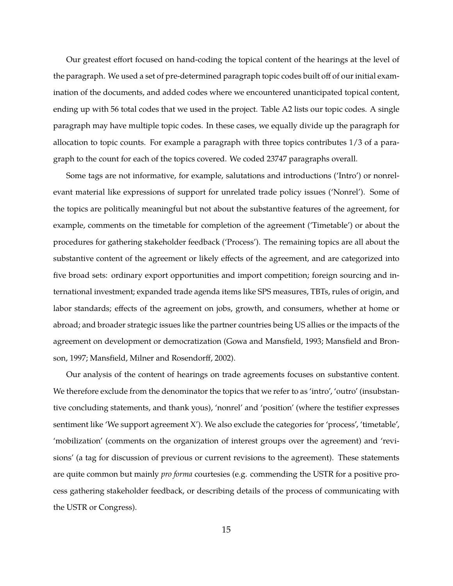Our greatest effort focused on hand-coding the topical content of the hearings at the level of the paragraph. We used a set of pre-determined paragraph topic codes built off of our initial examination of the documents, and added codes where we encountered unanticipated topical content, ending up with 56 total codes that we used in the project. Table A2 lists our topic codes. A single paragraph may have multiple topic codes. In these cases, we equally divide up the paragraph for allocation to topic counts. For example a paragraph with three topics contributes 1/3 of a paragraph to the count for each of the topics covered. We coded 23747 paragraphs overall.

Some tags are not informative, for example, salutations and introductions ('Intro') or nonrelevant material like expressions of support for unrelated trade policy issues ('Nonrel'). Some of the topics are politically meaningful but not about the substantive features of the agreement, for example, comments on the timetable for completion of the agreement ('Timetable') or about the procedures for gathering stakeholder feedback ('Process'). The remaining topics are all about the substantive content of the agreement or likely effects of the agreement, and are categorized into five broad sets: ordinary export opportunities and import competition; foreign sourcing and international investment; expanded trade agenda items like SPS measures, TBTs, rules of origin, and labor standards; effects of the agreement on jobs, growth, and consumers, whether at home or abroad; and broader strategic issues like the partner countries being US allies or the impacts of the agreement on development or democratization [\(Gowa and Mansfield, 1993;](#page-34-9) [Mansfield and Bron](#page-35-9)[son, 1997;](#page-35-9) [Mansfield, Milner and Rosendorff, 2002\)](#page-35-10).

Our analysis of the content of hearings on trade agreements focuses on substantive content. We therefore exclude from the denominator the topics that we refer to as 'intro', 'outro' (insubstantive concluding statements, and thank yous), 'nonrel' and 'position' (where the testifier expresses sentiment like 'We support agreement X'). We also exclude the categories for 'process', 'timetable', 'mobilization' (comments on the organization of interest groups over the agreement) and 'revisions' (a tag for discussion of previous or current revisions to the agreement). These statements are quite common but mainly *pro forma* courtesies (e.g. commending the USTR for a positive process gathering stakeholder feedback, or describing details of the process of communicating with the USTR or Congress).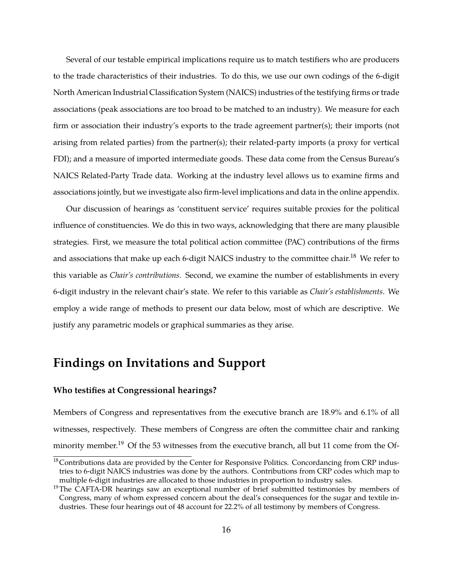Several of our testable empirical implications require us to match testifiers who are producers to the trade characteristics of their industries. To do this, we use our own codings of the 6-digit North American Industrial Classification System (NAICS) industries of the testifying firms or trade associations (peak associations are too broad to be matched to an industry). We measure for each firm or association their industry's exports to the trade agreement partner(s); their imports (not arising from related parties) from the partner(s); their related-party imports (a proxy for vertical FDI); and a measure of imported intermediate goods. These data come from the Census Bureau's NAICS Related-Party Trade data. Working at the industry level allows us to examine firms and associations jointly, but we investigate also firm-level implications and data in the online appendix.

Our discussion of hearings as 'constituent service' requires suitable proxies for the political influence of constituencies. We do this in two ways, acknowledging that there are many plausible strategies. First, we measure the total political action committee (PAC) contributions of the firms and associations that make up each 6-digit NAICS industry to the committee chair.<sup>[18](#page-17-0)</sup> We refer to this variable as *Chair's contributions*. Second, we examine the number of establishments in every 6-digit industry in the relevant chair's state. We refer to this variable as *Chair's establishments*. We employ a wide range of methods to present our data below, most of which are descriptive. We justify any parametric models or graphical summaries as they arise.

# **Findings on Invitations and Support**

### **Who testifies at Congressional hearings?**

Members of Congress and representatives from the executive branch are 18.9% and 6.1% of all witnesses, respectively. These members of Congress are often the committee chair and ranking minority member.<sup>[19](#page-17-1)</sup> Of the 53 witnesses from the executive branch, all but 11 come from the Of-

<span id="page-17-0"></span> $18$  Contributions data are provided by the Center for Responsive Politics. Concordancing from CRP industries to 6-digit NAICS industries was done by the authors. Contributions from CRP codes which map to multiple 6-digit industries are allocated to those industries in proportion to industry sales.

<span id="page-17-1"></span><sup>&</sup>lt;sup>19</sup>The CAFTA-DR hearings saw an exceptional number of brief submitted testimonies by members of Congress, many of whom expressed concern about the deal's consequences for the sugar and textile industries. These four hearings out of 48 account for 22.2% of all testimony by members of Congress.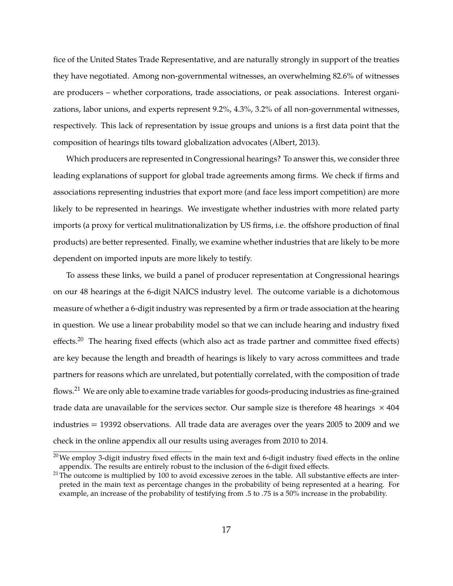fice of the United States Trade Representative, and are naturally strongly in support of the treaties they have negotiated. Among non-governmental witnesses, an overwhelming 82.6% of witnesses are producers – whether corporations, trade associations, or peak associations. Interest organizations, labor unions, and experts represent 9.2%, 4.3%, 3.2% of all non-governmental witnesses, respectively. This lack of representation by issue groups and unions is a first data point that the composition of hearings tilts toward globalization advocates [\(Albert, 2013\)](#page-32-6).

Which producers are represented in Congressional hearings? To answer this, we consider three leading explanations of support for global trade agreements among firms. We check if firms and associations representing industries that export more (and face less import competition) are more likely to be represented in hearings. We investigate whether industries with more related party imports (a proxy for vertical mulitnationalization by US firms, i.e. the offshore production of final products) are better represented. Finally, we examine whether industries that are likely to be more dependent on imported inputs are more likely to testify.

To assess these links, we build a panel of producer representation at Congressional hearings on our 48 hearings at the 6-digit NAICS industry level. The outcome variable is a dichotomous measure of whether a 6-digit industry was represented by a firm or trade association at the hearing in question. We use a linear probability model so that we can include hearing and industry fixed effects.<sup>[20](#page-18-0)</sup> The hearing fixed effects (which also act as trade partner and committee fixed effects) are key because the length and breadth of hearings is likely to vary across committees and trade partners for reasons which are unrelated, but potentially correlated, with the composition of trade flows.<sup>[21](#page-18-1)</sup> We are only able to examine trade variables for goods-producing industries as fine-grained trade data are unavailable for the services sector. Our sample size is therefore 48 hearings  $\times$  404 industries = 19392 observations. All trade data are averages over the years 2005 to 2009 and we check in the online appendix all our results using averages from 2010 to 2014.

<span id="page-18-0"></span> $20$ We employ 3-digit industry fixed effects in the main text and 6-digit industry fixed effects in the online appendix. The results are entirely robust to the inclusion of the 6-digit fixed effects.

<span id="page-18-1"></span> $21$ The outcome is multiplied by 100 to avoid excessive zeroes in the table. All substantive effects are interpreted in the main text as percentage changes in the probability of being represented at a hearing. For example, an increase of the probability of testifying from .5 to .75 is a 50% increase in the probability.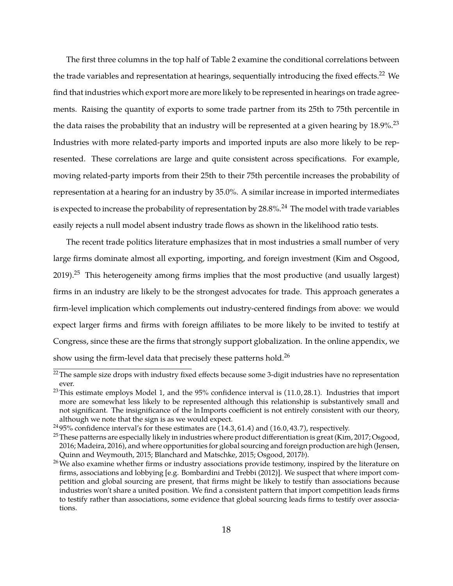The first three columns in the top half of Table [2](#page-38-0) examine the conditional correlations between the trade variables and representation at hearings, sequentially introducing the fixed effects.<sup>[22](#page-19-0)</sup> We find that industries which export more are more likely to be represented in hearings on trade agreements. Raising the quantity of exports to some trade partner from its 25th to 75th percentile in the data raises the probability that an industry will be represented at a given hearing by  $18.9\%$ <sup>[23](#page-19-1)</sup> Industries with more related-party imports and imported inputs are also more likely to be represented. These correlations are large and quite consistent across specifications. For example, moving related-party imports from their 25th to their 75th percentile increases the probability of representation at a hearing for an industry by 35.0%. A similar increase in imported intermediates is expected to increase the probability of representation by 28.8%.<sup>[24](#page-19-2)</sup> The model with trade variables easily rejects a null model absent industry trade flows as shown in the likelihood ratio tests.

The recent trade politics literature emphasizes that in most industries a small number of very large firms dominate almost all exporting, importing, and foreign investment [\(Kim and Osgood,](#page-34-10) [2019\)](#page-34-10).<sup>[25](#page-19-3)</sup> This heterogeneity among firms implies that the most productive (and usually largest) firms in an industry are likely to be the strongest advocates for trade. This approach generates a firm-level implication which complements out industry-centered findings from above: we would expect larger firms and firms with foreign affiliates to be more likely to be invited to testify at Congress, since these are the firms that strongly support globalization. In the online appendix, we show using the firm-level data that precisely these patterns hold. $^{26}$  $^{26}$  $^{26}$ 

<span id="page-19-0"></span> $22$ The sample size drops with industry fixed effects because some 3-digit industries have no representation ever.

<span id="page-19-1"></span> $23$ This estimate employs Model 1, and the 95% confidence interval is (11.0, 28.1). Industries that import more are somewhat less likely to be represented although this relationship is substantively small and not significant. The insignificance of the lnImports coefficient is not entirely consistent with our theory, although we note that the sign is as we would expect.

<span id="page-19-2"></span> $2495\%$  confidence interval's for these estimates are (14.3, 61.4) and (16.0, 43.7), respectively.

<span id="page-19-3"></span><sup>&</sup>lt;sup>25</sup>These patterns are especially likely in industries where product differentiation is great [\(Kim, 2017;](#page-34-1) [Osgood,](#page-36-10) [2016;](#page-36-10) [Madeira, 2016\)](#page-35-11), and where opportunities for global sourcing and foreign production are high [\(Jensen,](#page-34-0) [Quinn and Weymouth, 2015;](#page-34-0) [Blanchard and Matschke, 2015;](#page-33-11) [Osgood, 2017](#page-36-11)*b*).

<span id="page-19-4"></span><sup>&</sup>lt;sup>26</sup>We also examine whether firms or industry associations provide testimony, inspired by the literature on firms, associations and lobbying [e.g. [Bombardini and Trebbi](#page-33-12) [\(2012\)](#page-33-12)]. We suspect that where import competition and global sourcing are present, that firms might be likely to testify than associations because industries won't share a united position. We find a consistent pattern that import competition leads firms to testify rather than associations, some evidence that global sourcing leads firms to testify over associations.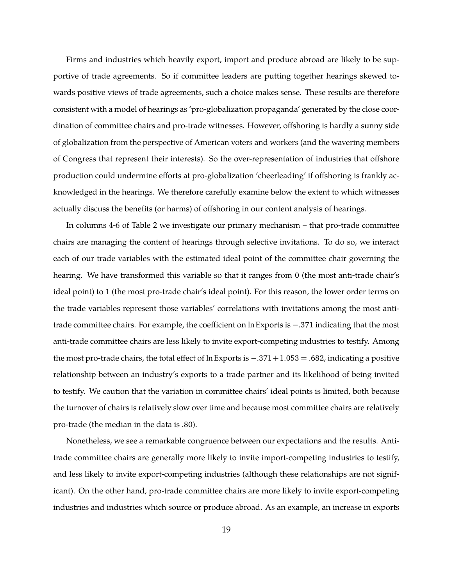Firms and industries which heavily export, import and produce abroad are likely to be supportive of trade agreements. So if committee leaders are putting together hearings skewed towards positive views of trade agreements, such a choice makes sense. These results are therefore consistent with a model of hearings as 'pro-globalization propaganda' generated by the close coordination of committee chairs and pro-trade witnesses. However, offshoring is hardly a sunny side of globalization from the perspective of American voters and workers (and the wavering members of Congress that represent their interests). So the over-representation of industries that offshore production could undermine efforts at pro-globalization 'cheerleading' if offshoring is frankly acknowledged in the hearings. We therefore carefully examine below the extent to which witnesses actually discuss the benefits (or harms) of offshoring in our content analysis of hearings.

In columns 4-6 of Table [2](#page-38-0) we investigate our primary mechanism – that pro-trade committee chairs are managing the content of hearings through selective invitations. To do so, we interact each of our trade variables with the estimated ideal point of the committee chair governing the hearing. We have transformed this variable so that it ranges from 0 (the most anti-trade chair's ideal point) to 1 (the most pro-trade chair's ideal point). For this reason, the lower order terms on the trade variables represent those variables' correlations with invitations among the most antitrade committee chairs. For example, the coefficient on lnExports is −.371 indicating that the most anti-trade committee chairs are less likely to invite export-competing industries to testify. Among the most pro-trade chairs, the total effect of ln Exports is  $-.371+1.053=.682$ , indicating a positive relationship between an industry's exports to a trade partner and its likelihood of being invited to testify. We caution that the variation in committee chairs' ideal points is limited, both because the turnover of chairs is relatively slow over time and because most committee chairs are relatively pro-trade (the median in the data is .80).

Nonetheless, we see a remarkable congruence between our expectations and the results. Antitrade committee chairs are generally more likely to invite import-competing industries to testify, and less likely to invite export-competing industries (although these relationships are not significant). On the other hand, pro-trade committee chairs are more likely to invite export-competing industries and industries which source or produce abroad. As an example, an increase in exports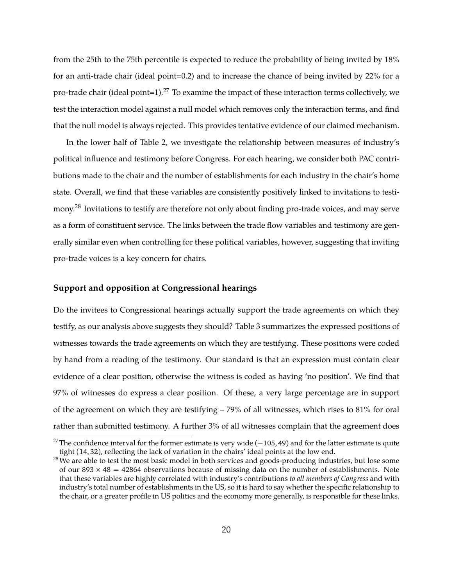from the 25th to the 75th percentile is expected to reduce the probability of being invited by 18% for an anti-trade chair (ideal point=0.2) and to increase the chance of being invited by 22% for a pro-trade chair (ideal point=1).<sup>[27](#page-21-0)</sup> To examine the impact of these interaction terms collectively, we test the interaction model against a null model which removes only the interaction terms, and find that the null model is always rejected. This provides tentative evidence of our claimed mechanism.

In the lower half of Table [2,](#page-38-0) we investigate the relationship between measures of industry's political influence and testimony before Congress. For each hearing, we consider both PAC contributions made to the chair and the number of establishments for each industry in the chair's home state. Overall, we find that these variables are consistently positively linked to invitations to testi-mony.<sup>[28](#page-21-1)</sup> Invitations to testify are therefore not only about finding pro-trade voices, and may serve as a form of constituent service. The links between the trade flow variables and testimony are generally similar even when controlling for these political variables, however, suggesting that inviting pro-trade voices is a key concern for chairs.

#### **Support and opposition at Congressional hearings**

Do the invitees to Congressional hearings actually support the trade agreements on which they testify, as our analysis above suggests they should? Table [3](#page-39-0) summarizes the expressed positions of witnesses towards the trade agreements on which they are testifying. These positions were coded by hand from a reading of the testimony. Our standard is that an expression must contain clear evidence of a clear position, otherwise the witness is coded as having 'no position'. We find that 97% of witnesses do express a clear position. Of these, a very large percentage are in support of the agreement on which they are testifying – 79% of all witnesses, which rises to 81% for oral rather than submitted testimony. A further 3% of all witnesses complain that the agreement does

<span id="page-21-0"></span><sup>&</sup>lt;sup>27</sup>The confidence interval for the former estimate is very wide ( $-105, 49$ ) and for the latter estimate is quite tight (14, 32), reflecting the lack of variation in the chairs' ideal points at the low end.

<span id="page-21-1"></span> $28$ We are able to test the most basic model in both services and goods-producing industries, but lose some of our  $893 \times 48 = 42864$  observations because of missing data on the number of establishments. Note that these variables are highly correlated with industry's contributions *to all members of Congress* and with industry's total number of establishments in the US, so it is hard to say whether the specific relationship to the chair, or a greater profile in US politics and the economy more generally, is responsible for these links.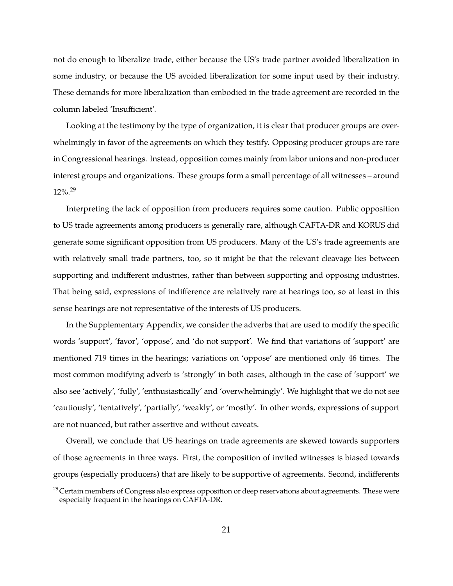not do enough to liberalize trade, either because the US's trade partner avoided liberalization in some industry, or because the US avoided liberalization for some input used by their industry. These demands for more liberalization than embodied in the trade agreement are recorded in the column labeled 'Insufficient'.

Looking at the testimony by the type of organization, it is clear that producer groups are overwhelmingly in favor of the agreements on which they testify. Opposing producer groups are rare in Congressional hearings. Instead, opposition comes mainly from labor unions and non-producer interest groups and organizations. These groups form a small percentage of all witnesses – around 12%.[29](#page-22-0)

Interpreting the lack of opposition from producers requires some caution. Public opposition to US trade agreements among producers is generally rare, although CAFTA-DR and KORUS did generate some significant opposition from US producers. Many of the US's trade agreements are with relatively small trade partners, too, so it might be that the relevant cleavage lies between supporting and indifferent industries, rather than between supporting and opposing industries. That being said, expressions of indifference are relatively rare at hearings too, so at least in this sense hearings are not representative of the interests of US producers.

In the Supplementary Appendix, we consider the adverbs that are used to modify the specific words 'support', 'favor', 'oppose', and 'do not support'. We find that variations of 'support' are mentioned 719 times in the hearings; variations on 'oppose' are mentioned only 46 times. The most common modifying adverb is 'strongly' in both cases, although in the case of 'support' we also see 'actively', 'fully', 'enthusiastically' and 'overwhelmingly'. We highlight that we do not see 'cautiously', 'tentatively', 'partially', 'weakly', or 'mostly'. In other words, expressions of support are not nuanced, but rather assertive and without caveats.

Overall, we conclude that US hearings on trade agreements are skewed towards supporters of those agreements in three ways. First, the composition of invited witnesses is biased towards groups (especially producers) that are likely to be supportive of agreements. Second, indifferents

<span id="page-22-0"></span><sup>&</sup>lt;sup>29</sup> Certain members of Congress also express opposition or deep reservations about agreements. These were especially frequent in the hearings on CAFTA-DR.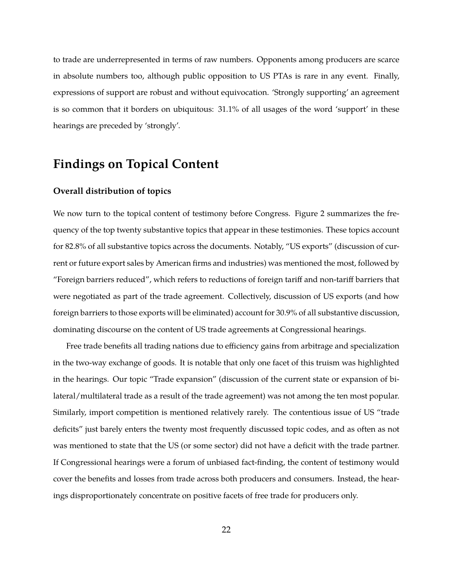to trade are underrepresented in terms of raw numbers. Opponents among producers are scarce in absolute numbers too, although public opposition to US PTAs is rare in any event. Finally, expressions of support are robust and without equivocation. 'Strongly supporting' an agreement is so common that it borders on ubiquitous: 31.1% of all usages of the word 'support' in these hearings are preceded by 'strongly'.

# **Findings on Topical Content**

### **Overall distribution of topics**

We now turn to the topical content of testimony before Congress. Figure [2](#page-24-0) summarizes the frequency of the top twenty substantive topics that appear in these testimonies. These topics account for 82.8% of all substantive topics across the documents. Notably, "US exports" (discussion of current or future export sales by American firms and industries) was mentioned the most, followed by "Foreign barriers reduced", which refers to reductions of foreign tariff and non-tariff barriers that were negotiated as part of the trade agreement. Collectively, discussion of US exports (and how foreign barriers to those exports will be eliminated) account for 30.9% of all substantive discussion, dominating discourse on the content of US trade agreements at Congressional hearings.

Free trade benefits all trading nations due to efficiency gains from arbitrage and specialization in the two-way exchange of goods. It is notable that only one facet of this truism was highlighted in the hearings. Our topic "Trade expansion" (discussion of the current state or expansion of bilateral/multilateral trade as a result of the trade agreement) was not among the ten most popular. Similarly, import competition is mentioned relatively rarely. The contentious issue of US "trade deficits" just barely enters the twenty most frequently discussed topic codes, and as often as not was mentioned to state that the US (or some sector) did not have a deficit with the trade partner. If Congressional hearings were a forum of unbiased fact-finding, the content of testimony would cover the benefits and losses from trade across both producers and consumers. Instead, the hearings disproportionately concentrate on positive facets of free trade for producers only.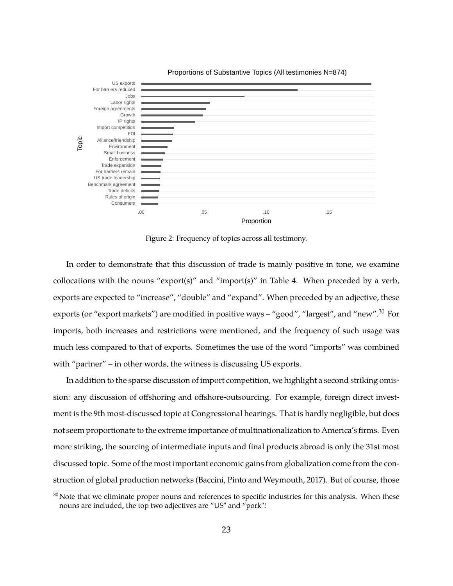<span id="page-24-0"></span>

Proportions of Substantive Topics (All testimonies N=874)

Figure 2: Frequency of topics across all testimony.

In order to demonstrate that this discussion of trade is mainly positive in tone, we examine collocations with the nouns "export(s)" and "import(s)" in Table [4.](#page-39-1) When preceded by a verb, exports are expected to "increase", "double" and "expand". When preceded by an adjective, these exports (or "export markets") are modified in positive ways - "good", "largest", and "new".<sup>[30](#page-24-1)</sup> For imports, both increases and restrictions were mentioned, and the frequency of such usage was much less compared to that of exports. Sometimes the use of the word "imports" was combined with "partner" – in other words, the witness is discussing US exports.

In addition to the sparse discussion of import competition, we highlight a second striking omission: any discussion of offshoring and offshore-outsourcing. For example, foreign direct investment is the 9th most-discussed topic at Congressional hearings. That is hardly negligible, but does not seem proportionate to the extreme importance of multinationalization to America's firms. Even more striking, the sourcing of intermediate inputs and final products abroad is only the 31st most discussed topic. Some of the most important economic gains from globalization come from the construction of global production networks [\(Baccini, Pinto and Weymouth, 2017\)](#page-32-4). But of course, those

<span id="page-24-1"></span> $30$  Note that we eliminate proper nouns and references to specific industries for this analysis. When these nouns are included, the top two adjectives are "US" and "pork"!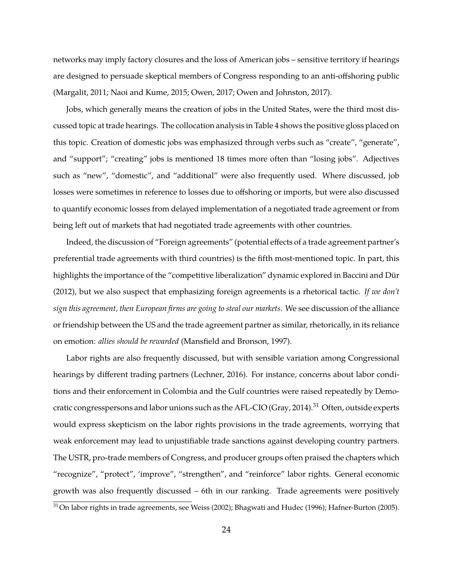networks may imply factory closures and the loss of American jobs – sensitive territory if hearings are designed to persuade skeptical members of Congress responding to an anti-offshoring public [\(Margalit, 2011;](#page-35-7) [Naoi and Kume, 2015;](#page-36-12) [Owen, 2017;](#page-36-13) [Owen and Johnston, 2017\)](#page-36-0).

Jobs, which generally means the creation of jobs in the United States, were the third most discussed topic at trade hearings. The collocation analysis in Table [4](#page-39-1) shows the positive gloss placed on this topic. Creation of domestic jobs was emphasized through verbs such as "create", "generate", and "support"; "creating" jobs is mentioned 18 times more often than "losing jobs". Adjectives such as "new", "domestic", and "additional" were also frequently used. Where discussed, job losses were sometimes in reference to losses due to offshoring or imports, but were also discussed to quantify economic losses from delayed implementation of a negotiated trade agreement or from being left out of markets that had negotiated trade agreements with other countries.

Indeed, the discussion of "Foreign agreements" (potential effects of a trade agreement partner's preferential trade agreements with third countries) is the fifth most-mentioned topic. In part, this highlights the importance of the "competitive liberalization" dynamic explored in [Baccini and Dür](#page-32-7) [\(2012\)](#page-32-7), but we also suspect that emphasizing foreign agreements is a rhetorical tactic. *If we don't sign this agreement, then European firms are going to steal our markets.* We see discussion of the alliance or friendship between the US and the trade agreement partner as similar, rhetorically, in its reliance on emotion: *allies should be rewarded* [\(Mansfield and Bronson, 1997\)](#page-35-9).

Labor rights are also frequently discussed, but with sensible variation among Congressional hearings by different trading partners [\(Lechner, 2016\)](#page-35-12). For instance, concerns about labor conditions and their enforcement in Colombia and the Gulf countries were raised repeatedly by Demo-cratic congresspersons and labor unions such as the AFL-CIO [\(Gray, 2014\)](#page-34-11).<sup>[31](#page-25-0)</sup> Often, outside experts would express skepticism on the labor rights provisions in the trade agreements, worrying that weak enforcement may lead to unjustifiable trade sanctions against developing country partners. The USTR, pro-trade members of Congress, and producer groups often praised the chapters which "recognize", "protect", 'improve", "strengthen", and "reinforce" labor rights. General economic growth was also frequently discussed – 6th in our ranking. Trade agreements were positively

<span id="page-25-0"></span><sup>&</sup>lt;sup>31</sup> On labor rights in trade agreements, see [Weiss](#page-37-6) [\(2002\)](#page-37-6); [Bhagwati and Hudec](#page-33-13) [\(1996\)](#page-33-13); [Hafner-Burton](#page-34-12) [\(2005\)](#page-34-12).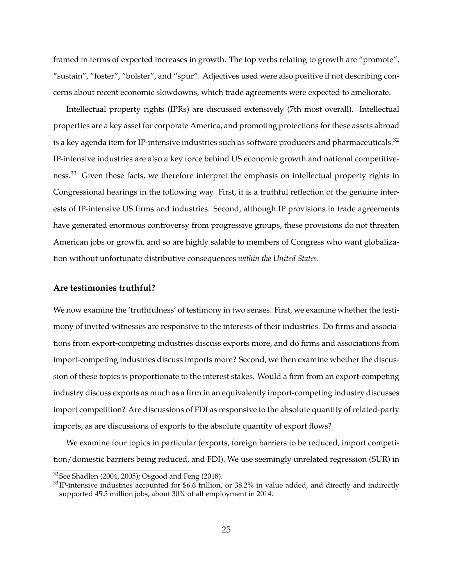framed in terms of expected increases in growth. The top verbs relating to growth are "promote", "sustain", "foster", "bolster", and "spur". Adjectives used were also positive if not describing concerns about recent economic slowdowns, which trade agreements were expected to ameliorate.

Intellectual property rights (IPRs) are discussed extensively (7th most overall). Intellectual properties are a key asset for corporate America, and promoting protections for these assets abroad is a key agenda item for IP-intensive industries such as software producers and pharmaceuticals. $32$ IP-intensive industries are also a key force behind US economic growth and national competitive-ness.<sup>[33](#page-26-1)</sup> Given these facts, we therefore interpret the emphasis on intellectual property rights in Congressional hearings in the following way. First, it is a truthful reflection of the genuine interests of IP-intensive US firms and industries. Second, although IP provisions in trade agreements have generated enormous controversy from progressive groups, these provisions do not threaten American jobs or growth, and so are highly salable to members of Congress who want globalization without unfortunate distributive consequences *within the United States*.

#### **Are testimonies truthful?**

We now examine the 'truthfulness' of testimony in two senses. First, we examine whether the testimony of invited witnesses are responsive to the interests of their industries. Do firms and associations from export-competing industries discuss exports more, and do firms and associations from import-competing industries discuss imports more? Second, we then examine whether the discussion of these topics is proportionate to the interest stakes. Would a firm from an export-competing industry discuss exports as much as a firm in an equivalently import-competing industry discusses import competition? Are discussions of FDI as responsive to the absolute quantity of related-party imports, as are discussions of exports to the absolute quantity of export flows?

We examine four topics in particular (exports, foreign barriers to be reduced, import competition/domestic barriers being reduced, and FDI). We use seemingly unrelated regression (SUR) in

<span id="page-26-0"></span><sup>32</sup>See [Shadlen](#page-37-7) [\(2004,](#page-37-7) [2005\)](#page-37-8); [Osgood and Feng](#page-36-14) [\(2018\)](#page-36-14).

<span id="page-26-1"></span> $33$  IP-intensive industries accounted for \$6.6 trillion, or  $38.2\%$  in value added, and directly and indirectly supported 45.5 million jobs, about 30% of all employment in 2014.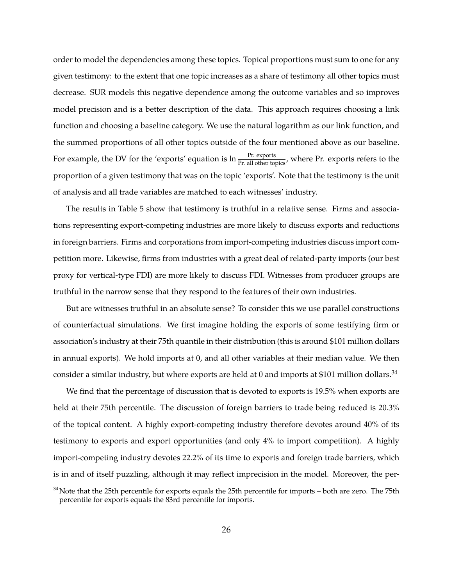order to model the dependencies among these topics. Topical proportions must sum to one for any given testimony: to the extent that one topic increases as a share of testimony all other topics must decrease. SUR models this negative dependence among the outcome variables and so improves model precision and is a better description of the data. This approach requires choosing a link function and choosing a baseline category. We use the natural logarithm as our link function, and the summed proportions of all other topics outside of the four mentioned above as our baseline. For example, the DV for the 'exports' equation is  $\ln \frac{Pr.$  exports , where Pr. exports refers to the proportion of a given testimony that was on the topic 'exports'. Note that the testimony is the unit of analysis and all trade variables are matched to each witnesses' industry.

The results in Table [5](#page-40-0) show that testimony is truthful in a relative sense. Firms and associations representing export-competing industries are more likely to discuss exports and reductions in foreign barriers. Firms and corporations from import-competing industries discuss import competition more. Likewise, firms from industries with a great deal of related-party imports (our best proxy for vertical-type FDI) are more likely to discuss FDI. Witnesses from producer groups are truthful in the narrow sense that they respond to the features of their own industries.

But are witnesses truthful in an absolute sense? To consider this we use parallel constructions of counterfactual simulations. We first imagine holding the exports of some testifying firm or association's industry at their 75th quantile in their distribution (this is around \$101 million dollars in annual exports). We hold imports at 0, and all other variables at their median value. We then consider a similar industry, but where exports are held at 0 and imports at \$101 million dollars.<sup>[34](#page-27-0)</sup>

We find that the percentage of discussion that is devoted to exports is 19.5% when exports are held at their 75th percentile. The discussion of foreign barriers to trade being reduced is 20.3% of the topical content. A highly export-competing industry therefore devotes around 40% of its testimony to exports and export opportunities (and only 4% to import competition). A highly import-competing industry devotes 22.2% of its time to exports and foreign trade barriers, which is in and of itself puzzling, although it may reflect imprecision in the model. Moreover, the per-

<span id="page-27-0"></span> $34$ Note that the 25th percentile for exports equals the 25th percentile for imports – both are zero. The 75th percentile for exports equals the 83rd percentile for imports.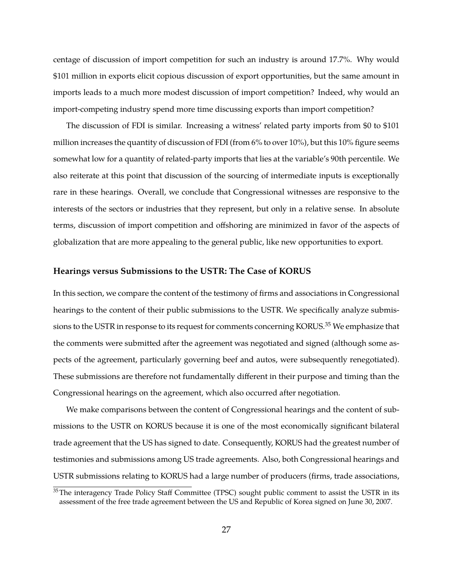centage of discussion of import competition for such an industry is around 17.7%. Why would \$101 million in exports elicit copious discussion of export opportunities, but the same amount in imports leads to a much more modest discussion of import competition? Indeed, why would an import-competing industry spend more time discussing exports than import competition?

The discussion of FDI is similar. Increasing a witness' related party imports from \$0 to \$101 million increases the quantity of discussion of FDI (from 6% to over 10%), but this 10% figure seems somewhat low for a quantity of related-party imports that lies at the variable's 90th percentile. We also reiterate at this point that discussion of the sourcing of intermediate inputs is exceptionally rare in these hearings. Overall, we conclude that Congressional witnesses are responsive to the interests of the sectors or industries that they represent, but only in a relative sense. In absolute terms, discussion of import competition and offshoring are minimized in favor of the aspects of globalization that are more appealing to the general public, like new opportunities to export.

#### **Hearings versus Submissions to the USTR: The Case of KORUS**

In this section, we compare the content of the testimony of firms and associations in Congressional hearings to the content of their public submissions to the USTR. We specifically analyze submis-sions to the USTR in response to its request for comments concerning KORUS.<sup>[35](#page-28-0)</sup> We emphasize that the comments were submitted after the agreement was negotiated and signed (although some aspects of the agreement, particularly governing beef and autos, were subsequently renegotiated). These submissions are therefore not fundamentally different in their purpose and timing than the Congressional hearings on the agreement, which also occurred after negotiation.

We make comparisons between the content of Congressional hearings and the content of submissions to the USTR on KORUS because it is one of the most economically significant bilateral trade agreement that the US has signed to date. Consequently, KORUS had the greatest number of testimonies and submissions among US trade agreements. Also, both Congressional hearings and USTR submissions relating to KORUS had a large number of producers (firms, trade associations,

<span id="page-28-0"></span><sup>&</sup>lt;sup>35</sup>The interagency Trade Policy Staff Committee (TPSC) sought public comment to assist the USTR in its assessment of the free trade agreement between the US and Republic of Korea signed on June 30, 2007.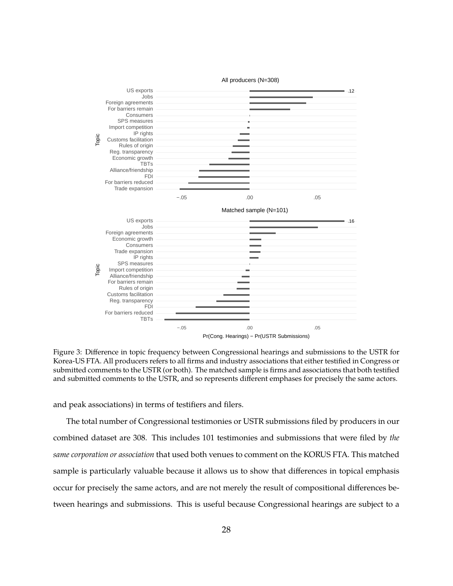<span id="page-29-0"></span>

Figure 3: Difference in topic frequency between Congressional hearings and submissions to the USTR for Korea-US FTA. All producers refers to all firms and industry associations that either testified in Congress or submitted comments to the USTR (or both). The matched sample is firms and associations that both testified and submitted comments to the USTR, and so represents different emphases for precisely the same actors.

and peak associations) in terms of testifiers and filers.

The total number of Congressional testimonies or USTR submissions filed by producers in our combined dataset are 308. This includes 101 testimonies and submissions that were filed by *the same corporation or association* that used both venues to comment on the KORUS FTA. This matched sample is particularly valuable because it allows us to show that differences in topical emphasis occur for precisely the same actors, and are not merely the result of compositional differences between hearings and submissions. This is useful because Congressional hearings are subject to a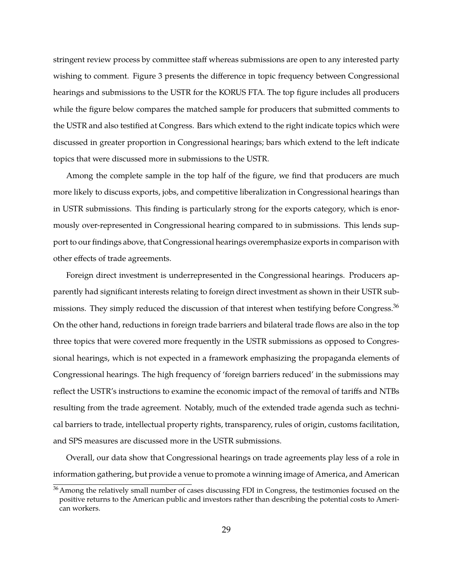stringent review process by committee staff whereas submissions are open to any interested party wishing to comment. Figure [3](#page-29-0) presents the difference in topic frequency between Congressional hearings and submissions to the USTR for the KORUS FTA. The top figure includes all producers while the figure below compares the matched sample for producers that submitted comments to the USTR and also testified at Congress. Bars which extend to the right indicate topics which were discussed in greater proportion in Congressional hearings; bars which extend to the left indicate topics that were discussed more in submissions to the USTR.

Among the complete sample in the top half of the figure, we find that producers are much more likely to discuss exports, jobs, and competitive liberalization in Congressional hearings than in USTR submissions. This finding is particularly strong for the exports category, which is enormously over-represented in Congressional hearing compared to in submissions. This lends support to our findings above, that Congressional hearings overemphasize exports in comparison with other effects of trade agreements.

Foreign direct investment is underrepresented in the Congressional hearings. Producers apparently had significant interests relating to foreign direct investment as shown in their USTR sub-missions. They simply reduced the discussion of that interest when testifying before Congress.<sup>[36](#page-30-0)</sup> On the other hand, reductions in foreign trade barriers and bilateral trade flows are also in the top three topics that were covered more frequently in the USTR submissions as opposed to Congressional hearings, which is not expected in a framework emphasizing the propaganda elements of Congressional hearings. The high frequency of 'foreign barriers reduced' in the submissions may reflect the USTR's instructions to examine the economic impact of the removal of tariffs and NTBs resulting from the trade agreement. Notably, much of the extended trade agenda such as technical barriers to trade, intellectual property rights, transparency, rules of origin, customs facilitation, and SPS measures are discussed more in the USTR submissions.

Overall, our data show that Congressional hearings on trade agreements play less of a role in information gathering, but provide a venue to promote a winning image of America, and American

<span id="page-30-0"></span><sup>&</sup>lt;sup>36</sup> Among the relatively small number of cases discussing FDI in Congress, the testimonies focused on the positive returns to the American public and investors rather than describing the potential costs to American workers.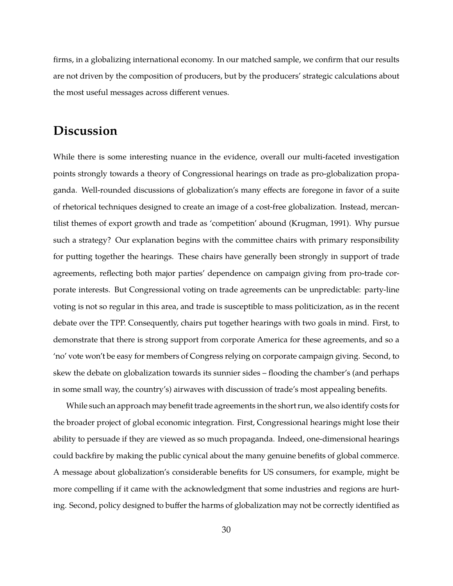firms, in a globalizing international economy. In our matched sample, we confirm that our results are not driven by the composition of producers, but by the producers' strategic calculations about the most useful messages across different venues.

### **Discussion**

While there is some interesting nuance in the evidence, overall our multi-faceted investigation points strongly towards a theory of Congressional hearings on trade as pro-globalization propaganda. Well-rounded discussions of globalization's many effects are foregone in favor of a suite of rhetorical techniques designed to create an image of a cost-free globalization. Instead, mercantilist themes of export growth and trade as 'competition' abound [\(Krugman, 1991\)](#page-35-13). Why pursue such a strategy? Our explanation begins with the committee chairs with primary responsibility for putting together the hearings. These chairs have generally been strongly in support of trade agreements, reflecting both major parties' dependence on campaign giving from pro-trade corporate interests. But Congressional voting on trade agreements can be unpredictable: party-line voting is not so regular in this area, and trade is susceptible to mass politicization, as in the recent debate over the TPP. Consequently, chairs put together hearings with two goals in mind. First, to demonstrate that there is strong support from corporate America for these agreements, and so a 'no' vote won't be easy for members of Congress relying on corporate campaign giving. Second, to skew the debate on globalization towards its sunnier sides – flooding the chamber's (and perhaps in some small way, the country's) airwaves with discussion of trade's most appealing benefits.

While such an approach may benefit trade agreements in the short run, we also identify costs for the broader project of global economic integration. First, Congressional hearings might lose their ability to persuade if they are viewed as so much propaganda. Indeed, one-dimensional hearings could backfire by making the public cynical about the many genuine benefits of global commerce. A message about globalization's considerable benefits for US consumers, for example, might be more compelling if it came with the acknowledgment that some industries and regions are hurting. Second, policy designed to buffer the harms of globalization may not be correctly identified as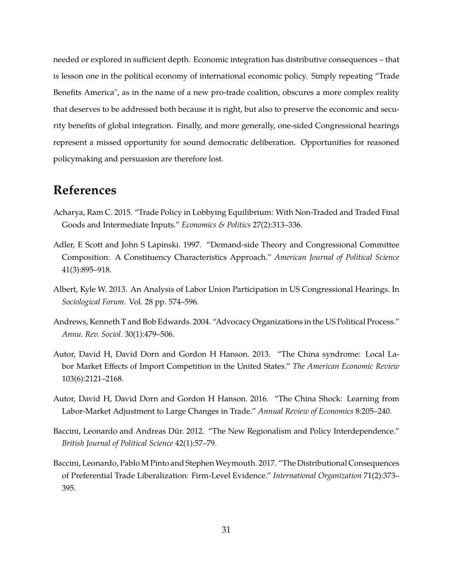needed or explored in sufficient depth. Economic integration has distributive consequences – that is lesson one in the political economy of international economic policy. Simply repeating "Trade Benefits America", as in the name of a new pro-trade coalition, obscures a more complex reality that deserves to be addressed both because it is right, but also to preserve the economic and security benefits of global integration. Finally, and more generally, one-sided Congressional hearings represent a missed opportunity for sound democratic deliberation. Opportunities for reasoned policymaking and persuasion are therefore lost.

### **References**

- <span id="page-32-5"></span>Acharya, Ram C. 2015. "Trade Policy in Lobbying Equilibrium: With Non-Traded and Traded Final Goods and Intermediate Inputs." *Economics & Politics* 27(2):313–336.
- <span id="page-32-3"></span>Adler, E Scott and John S Lapinski. 1997. "Demand-side Theory and Congressional Committee Composition: A Constituency Characteristics Approach." *American Journal of Political Science* 41(3):895–918.
- <span id="page-32-6"></span>Albert, Kyle W. 2013. An Analysis of Labor Union Participation in US Congressional Hearings. In *Sociological Forum*. Vol. 28 pp. 574–596.
- <span id="page-32-2"></span>Andrews, Kenneth T and Bob Edwards. 2004. "Advocacy Organizations in the US Political Process." *Annu. Rev. Sociol.* 30(1):479–506.
- <span id="page-32-0"></span>Autor, David H, David Dorn and Gordon H Hanson. 2013. "The China syndrome: Local Labor Market Effects of Import Competition in the United States." *The American Economic Review* 103(6):2121–2168.
- <span id="page-32-1"></span>Autor, David H, David Dorn and Gordon H Hanson. 2016. "The China Shock: Learning from Labor-Market Adjustment to Large Changes in Trade." *Annual Review of Economics* 8:205–240.
- <span id="page-32-7"></span>Baccini, Leonardo and Andreas Dür. 2012. "The New Regionalism and Policy Interdependence." *British Journal of Political Science* 42(1):57–79.
- <span id="page-32-4"></span>Baccini, Leonardo, Pablo M Pinto and Stephen Weymouth. 2017. "The Distributional Consequences of Preferential Trade Liberalization: Firm-Level Evidence." *International Organization* 71(2):373– 395.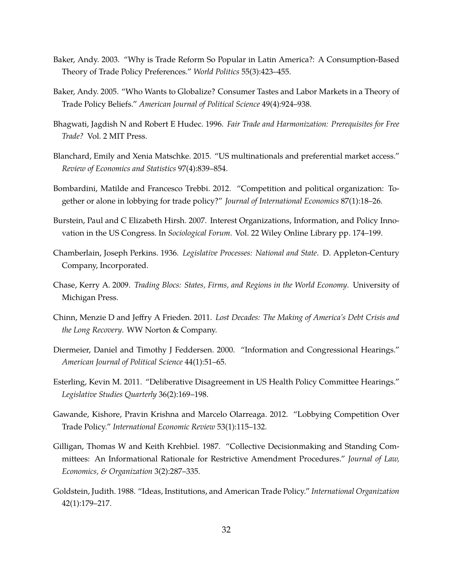- <span id="page-33-6"></span>Baker, Andy. 2003. "Why is Trade Reform So Popular in Latin America?: A Consumption-Based Theory of Trade Policy Preferences." *World Politics* 55(3):423–455.
- <span id="page-33-7"></span>Baker, Andy. 2005. "Who Wants to Globalize? Consumer Tastes and Labor Markets in a Theory of Trade Policy Beliefs." *American Journal of Political Science* 49(4):924–938.
- <span id="page-33-13"></span>Bhagwati, Jagdish N and Robert E Hudec. 1996. *Fair Trade and Harmonization: Prerequisites for Free Trade?* Vol. 2 MIT Press.
- <span id="page-33-11"></span>Blanchard, Emily and Xenia Matschke. 2015. "US multinationals and preferential market access." *Review of Economics and Statistics* 97(4):839–854.
- <span id="page-33-12"></span>Bombardini, Matilde and Francesco Trebbi. 2012. "Competition and political organization: Together or alone in lobbying for trade policy?" *Journal of International Economics* 87(1):18–26.
- <span id="page-33-2"></span>Burstein, Paul and C Elizabeth Hirsh. 2007. Interest Organizations, Information, and Policy Innovation in the US Congress. In *Sociological Forum*. Vol. 22 Wiley Online Library pp. 174–199.
- <span id="page-33-3"></span>Chamberlain, Joseph Perkins. 1936. *Legislative Processes: National and State*. D. Appleton-Century Company, Incorporated.
- <span id="page-33-10"></span>Chase, Kerry A. 2009. *Trading Blocs: States, Firms, and Regions in the World Economy*. University of Michigan Press.
- <span id="page-33-9"></span>Chinn, Menzie D and Jeffry A Frieden. 2011. *Lost Decades: The Making of America's Debt Crisis and the Long Recovery*. WW Norton & Company.
- <span id="page-33-1"></span>Diermeier, Daniel and Timothy J Feddersen. 2000. "Information and Congressional Hearings." *American Journal of Political Science* 44(1):51–65.
- <span id="page-33-4"></span>Esterling, Kevin M. 2011. "Deliberative Disagreement in US Health Policy Committee Hearings." *Legislative Studies Quarterly* 36(2):169–198.
- <span id="page-33-8"></span>Gawande, Kishore, Pravin Krishna and Marcelo Olarreaga. 2012. "Lobbying Competition Over Trade Policy." *International Economic Review* 53(1):115–132.
- <span id="page-33-5"></span>Gilligan, Thomas W and Keith Krehbiel. 1987. "Collective Decisionmaking and Standing Committees: An Informational Rationale for Restrictive Amendment Procedures." *Journal of Law, Economics, & Organization* 3(2):287–335.
- <span id="page-33-0"></span>Goldstein, Judith. 1988. "Ideas, Institutions, and American Trade Policy." *International Organization* 42(1):179–217.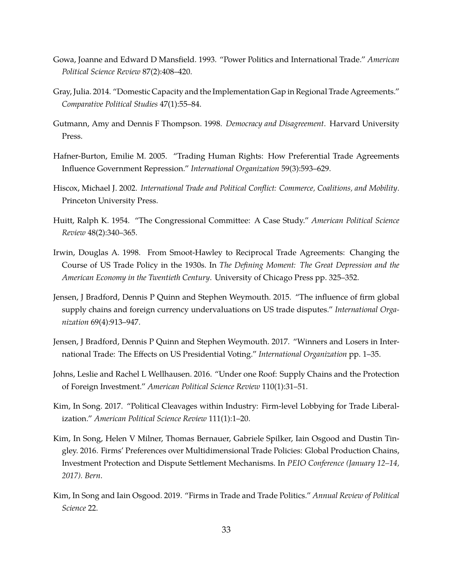- <span id="page-34-9"></span>Gowa, Joanne and Edward D Mansfield. 1993. "Power Politics and International Trade." *American Political Science Review* 87(2):408–420.
- <span id="page-34-11"></span>Gray, Julia. 2014. "Domestic Capacity and the Implementation Gap in Regional Trade Agreements." *Comparative Political Studies* 47(1):55–84.
- <span id="page-34-7"></span>Gutmann, Amy and Dennis F Thompson. 1998. *Democracy and Disagreement*. Harvard University Press.
- <span id="page-34-12"></span>Hafner-Burton, Emilie M. 2005. "Trading Human Rights: How Preferential Trade Agreements Influence Government Repression." *International Organization* 59(3):593–629.
- <span id="page-34-5"></span>Hiscox, Michael J. 2002. *International Trade and Political Conflict: Commerce, Coalitions, and Mobility*. Princeton University Press.
- <span id="page-34-6"></span>Huitt, Ralph K. 1954. "The Congressional Committee: A Case Study." *American Political Science Review* 48(2):340–365.
- <span id="page-34-4"></span>Irwin, Douglas A. 1998. From Smoot-Hawley to Reciprocal Trade Agreements: Changing the Course of US Trade Policy in the 1930s. In *The Defining Moment: The Great Depression and the American Economy in the Twentieth Century*. University of Chicago Press pp. 325–352.
- <span id="page-34-0"></span>Jensen, J Bradford, Dennis P Quinn and Stephen Weymouth. 2015. "The influence of firm global supply chains and foreign currency undervaluations on US trade disputes." *International Organization* 69(4):913–947.
- <span id="page-34-2"></span>Jensen, J Bradford, Dennis P Quinn and Stephen Weymouth. 2017. "Winners and Losers in International Trade: The Effects on US Presidential Voting." *International Organization* pp. 1–35.
- <span id="page-34-8"></span>Johns, Leslie and Rachel L Wellhausen. 2016. "Under one Roof: Supply Chains and the Protection of Foreign Investment." *American Political Science Review* 110(1):31–51.
- <span id="page-34-1"></span>Kim, In Song. 2017. "Political Cleavages within Industry: Firm-level Lobbying for Trade Liberalization." *American Political Science Review* 111(1):1–20.
- <span id="page-34-3"></span>Kim, In Song, Helen V Milner, Thomas Bernauer, Gabriele Spilker, Iain Osgood and Dustin Tingley. 2016. Firms' Preferences over Multidimensional Trade Policies: Global Production Chains, Investment Protection and Dispute Settlement Mechanisms. In *PEIO Conference (January 12–14, 2017). Bern*.
- <span id="page-34-10"></span>Kim, In Song and Iain Osgood. 2019. "Firms in Trade and Trade Politics." *Annual Review of Political Science* 22.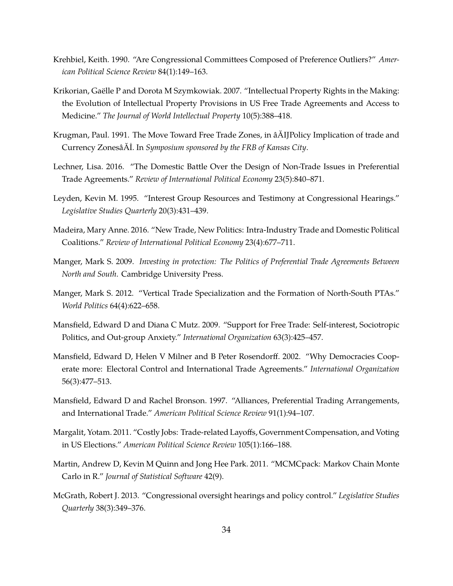- <span id="page-35-6"></span>Krehbiel, Keith. 1990. "Are Congressional Committees Composed of Preference Outliers?" *American Political Science Review* 84(1):149–163.
- <span id="page-35-2"></span>Krikorian, Gaëlle P and Dorota M Szymkowiak. 2007. "Intellectual Property Rights in the Making: the Evolution of Intellectual Property Provisions in US Free Trade Agreements and Access to Medicine." *The Journal of World Intellectual Property* 10(5):388–418.
- <span id="page-35-13"></span>Krugman, Paul. 1991. The Move Toward Free Trade Zones, in âĂIJPolicy Implication of trade and Currency ZonesâĂİ. In *Symposium sponsored by the FRB of Kansas City*.
- <span id="page-35-12"></span>Lechner, Lisa. 2016. "The Domestic Battle Over the Design of Non-Trade Issues in Preferential Trade Agreements." *Review of International Political Economy* 23(5):840–871.
- <span id="page-35-4"></span>Leyden, Kevin M. 1995. "Interest Group Resources and Testimony at Congressional Hearings." *Legislative Studies Quarterly* 20(3):431–439.
- <span id="page-35-11"></span>Madeira, Mary Anne. 2016. "New Trade, New Politics: Intra-Industry Trade and Domestic Political Coalitions." *Review of International Political Economy* 23(4):677–711.
- <span id="page-35-1"></span>Manger, Mark S. 2009. *Investing in protection: The Politics of Preferential Trade Agreements Between North and South*. Cambridge University Press.
- <span id="page-35-8"></span>Manger, Mark S. 2012. "Vertical Trade Specialization and the Formation of North-South PTAs." *World Politics* 64(4):622–658.
- <span id="page-35-0"></span>Mansfield, Edward D and Diana C Mutz. 2009. "Support for Free Trade: Self-interest, Sociotropic Politics, and Out-group Anxiety." *International Organization* 63(3):425–457.
- <span id="page-35-10"></span>Mansfield, Edward D, Helen V Milner and B Peter Rosendorff. 2002. "Why Democracies Cooperate more: Electoral Control and International Trade Agreements." *International Organization* 56(3):477–513.
- <span id="page-35-9"></span>Mansfield, Edward D and Rachel Bronson. 1997. "Alliances, Preferential Trading Arrangements, and International Trade." *American Political Science Review* 91(1):94–107.
- <span id="page-35-7"></span>Margalit, Yotam. 2011. "Costly Jobs: Trade-related Layoffs, Government Compensation, and Voting in US Elections." *American Political Science Review* 105(1):166–188.
- <span id="page-35-5"></span>Martin, Andrew D, Kevin M Quinn and Jong Hee Park. 2011. "MCMCpack: Markov Chain Monte Carlo in R." *Journal of Statistical Software* 42(9).
- <span id="page-35-3"></span>McGrath, Robert J. 2013. "Congressional oversight hearings and policy control." *Legislative Studies Quarterly* 38(3):349–376.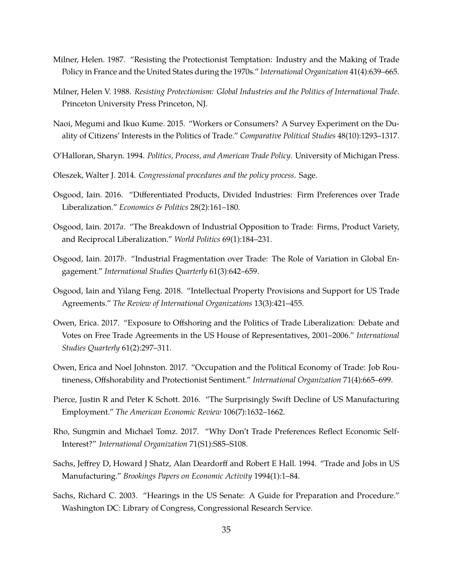- <span id="page-36-5"></span>Milner, Helen. 1987. "Resisting the Protectionist Temptation: Industry and the Making of Trade Policy in France and the United States during the 1970s." *International Organization* 41(4):639–665.
- <span id="page-36-2"></span>Milner, Helen V. 1988. *Resisting Protectionism: Global Industries and the Politics of International Trade*. Princeton University Press Princeton, NJ.
- <span id="page-36-12"></span>Naoi, Megumi and Ikuo Kume. 2015. "Workers or Consumers? A Survey Experiment on the Duality of Citizens' Interests in the Politics of Trade." *Comparative Political Studies* 48(10):1293–1317.
- <span id="page-36-6"></span>O'Halloran, Sharyn. 1994. *Politics, Process, and American Trade Policy*. University of Michigan Press.
- <span id="page-36-7"></span>Oleszek, Walter J. 2014. *Congressional procedures and the policy process*. Sage.
- <span id="page-36-10"></span>Osgood, Iain. 2016. "Differentiated Products, Divided Industries: Firm Preferences over Trade Liberalization." *Economics & Politics* 28(2):161–180.
- <span id="page-36-3"></span>Osgood, Iain. 2017*a*. "The Breakdown of Industrial Opposition to Trade: Firms, Product Variety, and Reciprocal Liberalization." *World Politics* 69(1):184–231.
- <span id="page-36-11"></span>Osgood, Iain. 2017*b*. "Industrial Fragmentation over Trade: The Role of Variation in Global Engagement." *International Studies Quarterly* 61(3):642–659.
- <span id="page-36-14"></span>Osgood, Iain and Yilang Feng. 2018. "Intellectual Property Provisions and Support for US Trade Agreements." *The Review of International Organizations* 13(3):421–455.
- <span id="page-36-13"></span>Owen, Erica. 2017. "Exposure to Offshoring and the Politics of Trade Liberalization: Debate and Votes on Free Trade Agreements in the US House of Representatives, 2001–2006." *International Studies Quarterly* 61(2):297–311.
- <span id="page-36-0"></span>Owen, Erica and Noel Johnston. 2017. "Occupation and the Political Economy of Trade: Job Routineness, Offshorability and Protectionist Sentiment." *International Organization* 71(4):665–699.
- <span id="page-36-1"></span>Pierce, Justin R and Peter K Schott. 2016. "The Surprisingly Swift Decline of US Manufacturing Employment." *The American Economic Review* 106(7):1632–1662.
- <span id="page-36-4"></span>Rho, Sungmin and Michael Tomz. 2017. "Why Don't Trade Preferences Reflect Economic Self-Interest?" *International Organization* 71(S1):S85–S108.
- <span id="page-36-9"></span>Sachs, Jeffrey D, Howard J Shatz, Alan Deardorff and Robert E Hall. 1994. "Trade and Jobs in US Manufacturing." *Brookings Papers on Economic Activity* 1994(1):1–84.
- <span id="page-36-8"></span>Sachs, Richard C. 2003. "Hearings in the US Senate: A Guide for Preparation and Procedure." Washington DC: Library of Congress, Congressional Research Service.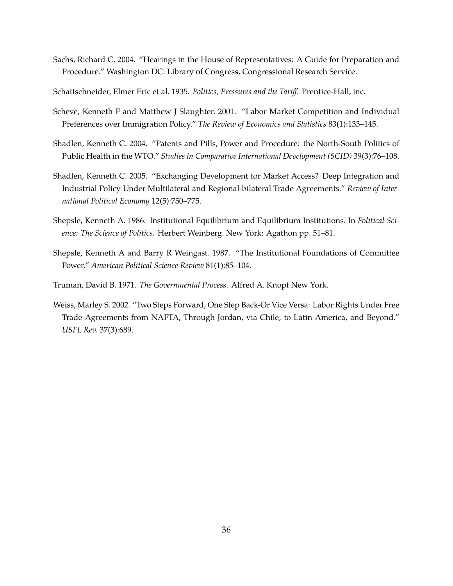- <span id="page-37-3"></span>Sachs, Richard C. 2004. "Hearings in the House of Representatives: A Guide for Preparation and Procedure." Washington DC: Library of Congress, Congressional Research Service.
- <span id="page-37-1"></span>Schattschneider, Elmer Eric et al. 1935. *Politics, Pressures and the Tariff*. Prentice-Hall, inc.
- <span id="page-37-0"></span>Scheve, Kenneth F and Matthew J Slaughter. 2001. "Labor Market Competition and Individual Preferences over Immigration Policy." *The Review of Economics and Statistics* 83(1):133–145.
- <span id="page-37-7"></span>Shadlen, Kenneth C. 2004. "Patents and Pills, Power and Procedure: the North-South Politics of Public Health in the WTO." *Studies in Comparative International Development (SCID)* 39(3):76–108.
- <span id="page-37-8"></span>Shadlen, Kenneth C. 2005. "Exchanging Development for Market Access? Deep Integration and Industrial Policy Under Multilateral and Regional-bilateral Trade Agreements." *Review of International Political Economy* 12(5):750–775.
- <span id="page-37-4"></span>Shepsle, Kenneth A. 1986. Institutional Equilibrium and Equilibrium Institutions. In *Political Science: The Science of Politics*. Herbert Weinberg. New York: Agathon pp. 51–81.
- <span id="page-37-5"></span>Shepsle, Kenneth A and Barry R Weingast. 1987. "The Institutional Foundations of Committee Power." *American Political Science Review* 81(1):85–104.
- <span id="page-37-2"></span>Truman, David B. 1971. *The Governmental Process*. Alfred A. Knopf New York.
- <span id="page-37-6"></span>Weiss, Marley S. 2002. "Two Steps Forward, One Step Back-Or Vice Versa: Labor Rights Under Free Trade Agreements from NAFTA, Through Jordan, via Chile, to Latin America, and Beyond." *USFL Rev.* 37(3):689.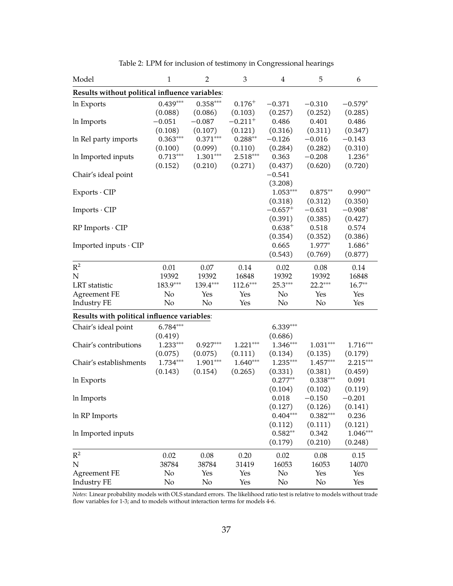<span id="page-38-0"></span>

| Model                                          | $\mathbf{1}$ | $\overline{2}$ | 3                  | $\overline{4}$ | 5                   | 6           |
|------------------------------------------------|--------------|----------------|--------------------|----------------|---------------------|-------------|
| Results without political influence variables: |              |                |                    |                |                     |             |
| In Exports                                     | $0.439***$   | $0.358***$     | $0.176^{+}$        | $-0.371$       | $-0.310$            | $-0.579*$   |
|                                                | (0.088)      | (0.086)        | (0.103)            | (0.257)        | (0.252)             | (0.285)     |
| In Imports                                     | $-0.051$     | $-0.087$       | $-0.211^{+}$       | 0.486          | 0.401               | 0.486       |
|                                                | (0.108)      | (0.107)        | (0.121)            | (0.316)        | (0.311)             | (0.347)     |
| In Rel party imports                           | $0.363***$   | $0.371***$     | $0.288^{\ast\ast}$ | $-0.126$       | $-0.016$            | $-0.143$    |
|                                                | (0.100)      | (0.099)        | (0.110)            | (0.284)        | (0.282)             | (0.310)     |
| In Imported inputs                             | $0.713***$   | $1.301***$     | $2.518***$         | 0.363          | $-0.208$            | $1.236^{+}$ |
|                                                | (0.152)      | (0.210)        | (0.271)            | (0.437)        | (0.620)             | (0.720)     |
| Chair's ideal point                            |              |                |                    | $-0.541$       |                     |             |
|                                                |              |                |                    | (3.208)        |                     |             |
| $Exports \cdot CIP$                            |              |                |                    | $1.053***$     | $0.875**$           | $0.990**$   |
|                                                |              |                |                    | (0.318)        | (0.312)             | (0.350)     |
| $Imports \cdot CIP$                            |              |                |                    | $-0.657^{+}$   | $-0.631$            | $-0.908*$   |
|                                                |              |                |                    | (0.391)        | (0.385)             | (0.427)     |
|                                                |              |                |                    | $0.638^{+}$    | 0.518               | 0.574       |
| RP Imports · CIP                               |              |                |                    |                |                     |             |
|                                                |              |                |                    | (0.354)        | (0.352)<br>$1.977*$ | (0.386)     |
| Imported inputs $\cdot$ CIP                    |              |                |                    | 0.665          |                     | $1.686^{+}$ |
|                                                |              |                |                    | (0.543)        | (0.769)             | (0.877)     |
| $R^2$                                          | 0.01         | 0.07           | 0.14               | 0.02           | 0.08                | 0.14        |
| N                                              | 19392        | 19392          | 16848              | 19392          | 19392               | 16848       |
| LRT statistic                                  | 183.9***     | 139.4***       | $112.6***$         | $25.3***$      | $22.2***$           | $16.7**$    |
| <b>Agreement FE</b>                            | No           | Yes            | Yes                | No             | Yes                 | Yes         |
| <b>Industry FE</b>                             | No           | No             | Yes                | No             | No                  | Yes         |
| Results with political influence variables:    |              |                |                    |                |                     |             |
| Chair's ideal point                            | $6.784***$   |                |                    | $6.339***$     |                     |             |
|                                                | (0.419)      |                |                    | (0.686)        |                     |             |
| Chair's contributions                          | $1.233***$   | $0.927***$     | $1.221***$         | 1.346***       | $1.031***$          | $1.716***$  |
|                                                | (0.075)      | (0.075)        | (0.111)            | (0.134)        | (0.135)             | (0.179)     |
| Chair's establishments                         | $1.734***$   | $1.901***$     | $1.640***$         | $1.235***$     | $1.457***$          | $2.215***$  |
|                                                | (0.143)      | (0.154)        | (0.265)            | (0.331)        | (0.381)             | (0.459)     |
| In Exports                                     |              |                |                    | $0.277**$      | $0.338***$          | 0.091       |
|                                                |              |                |                    | (0.104)        | (0.102)             | (0.119)     |
| In Imports                                     |              |                |                    | 0.018          | $-0.150$            | $-0.201$    |
|                                                |              |                |                    | (0.127)        | (0.126)             | (0.141)     |
|                                                |              |                |                    | $0.404***$     | $0.382***$          | 0.236       |
| In RP Imports                                  |              |                |                    |                |                     |             |
|                                                |              |                |                    | (0.112)        | (0.111)             | (0.121)     |
| In Imported inputs                             |              |                |                    | $0.582**$      | 0.342               | $1.046***$  |
|                                                |              |                |                    | (0.179)        | (0.210)             | (0.248)     |
| $R^2$                                          | 0.02         | 0.08           | 0.20               | 0.02           | 0.08                | 0.15        |
| ${\bf N}$                                      | 38784        | 38784          | 31419              | 16053          | 16053               | 14070       |
| Agreement FE                                   | No           | Yes            | Yes                | No             | Yes                 | Yes         |
| <b>Industry FE</b>                             | No           | $\rm No$       | Yes                | No             | No                  | Yes         |

|  | Table 2: LPM for inclusion of testimony in Congressional hearings |  |
|--|-------------------------------------------------------------------|--|
|  |                                                                   |  |

*Notes*: Linear probability models with OLS standard errors. The likelihood ratio test is relative to models without trade flow variables for 1-3; and to models without interaction terms for models 4-6.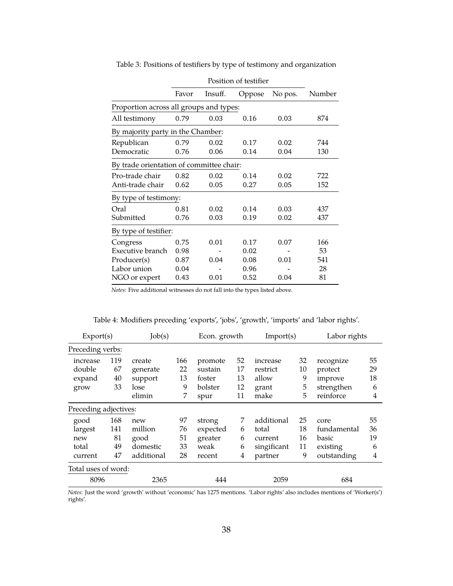<span id="page-39-0"></span>

|                                          | Favor | Insuff. | Oppose | No pos. | Number |
|------------------------------------------|-------|---------|--------|---------|--------|
| Proportion across all groups and types:  |       |         |        |         |        |
| All testimony                            | 0.79  | 0.03    | 0.16   | 0.03    | 874    |
| By majority party in the Chamber:        |       |         |        |         |        |
| Republican                               | 0.79  | 0.02    | 0.17   | 0.02    | 744    |
| Democratic                               | 0.76  | 0.06    | 0.14   | 0.04    | 130    |
| By trade orientation of committee chair: |       |         |        |         |        |
| Pro-trade chair                          | 0.82  | 0.02    | 0.14   | 0.02    | 722    |
| Anti-trade chair                         | 0.62  | 0.05    | 0.27   | 0.05    | 152    |
| By type of testimony:                    |       |         |        |         |        |
| Oral                                     | 0.81  | 0.02    | 0.14   | 0.03    | 437    |
| Submitted                                | 0.76  | 0.03    | 0.19   | 0.02    | 437    |
| By type of testifier:                    |       |         |        |         |        |
| Congress                                 | 0.75  | 0.01    | 0.17   | 0.07    | 166    |
| Executive branch                         | 0.98  |         | 0.02   |         | 53     |
| Producer(s)                              | 0.87  | 0.04    | 0.08   | 0.01    | 541    |
| Labor union                              | 0.04  |         | 0.96   |         | 28     |
| NGO or expert                            | 0.43  | 0.01    | 0.52   | 0.04    | 81     |

Table 3: Positions of testifiers by type of testimony and organization

*Notes*: Five additional witnesses do not fall into the types listed above.

<span id="page-39-1"></span>

| Export(s)             |     | $\text{Job}(s)$ |     | Econ. growth |    | Import(s)   |    | Labor rights |    |
|-----------------------|-----|-----------------|-----|--------------|----|-------------|----|--------------|----|
| Preceding verbs:      |     |                 |     |              |    |             |    |              |    |
| increase              | 119 | create          | 166 | promote      | 52 | increase    | 32 | recognize    | 55 |
| double                | 67  | generate        | 22  | sustain      | 17 | restrict    | 10 | protect      | 29 |
| expand                | 40  | support         | 13  | foster       | 13 | allow       | 9  | improve      | 18 |
| grow                  | 33  | lose            | 9   | bolster      | 12 | grant       | 5  | strengthen   | 6  |
|                       |     | elimin          | 7   | spur         | 11 | make        | 5  | reinforce    | 4  |
| Preceding adjectives: |     |                 |     |              |    |             |    |              |    |
| good                  | 168 | new             | 97  | strong       | 7  | additional  | 25 | core         | 55 |
| largest               | 141 | million         | 76  | expected     | 6  | total       | 18 | fundamental  | 36 |
| new                   | 81  | good            | 51  | greater      | 6  | current     | 16 | basic        | 19 |
| total                 | 49  | domestic        | 33  | weak         | 6  | singificant | 11 | existing     | 6  |
| current               | 47  | additional      | 28  | recent       | 4  | partner     | 9  | outstanding  | 4  |
| Total uses of word:   |     |                 |     |              |    |             |    |              |    |
| 8096                  |     | 2365            |     | 444          |    | 2059        |    | 684          |    |

Table 4: Modifiers preceding 'exports', 'jobs', 'growth', 'imports' and 'labor rights'.

*Notes*: Just the word 'growth' without 'economic' has 1275 mentions. 'Labor rights' also includes mentions of 'Worker(s') rights'.